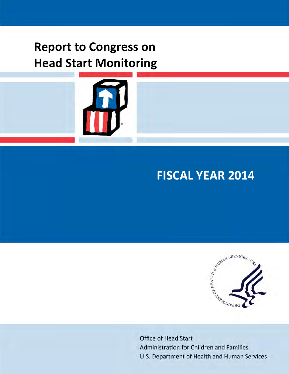# **Report to Congress on Head Start Monitoring**



# **FISCAL YEAR 2014**



**Office of Head Start** Administration for Children and Families U.S. Department of Health and Human Services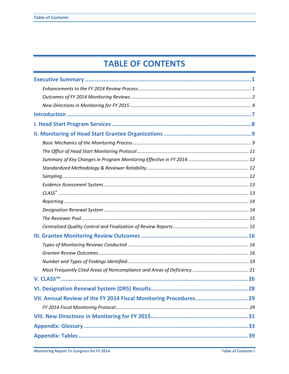# **TABLE OF CONTENTS**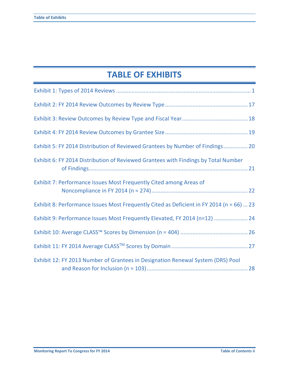# **TABLE OF EXHIBITS**

| Exhibit 5: FY 2014 Distribution of Reviewed Grantees by Number of Findings 20            |  |
|------------------------------------------------------------------------------------------|--|
| Exhibit 6: FY 2014 Distribution of Reviewed Grantees with Findings by Total Number       |  |
| Exhibit 7: Performance Issues Most Frequently Cited among Areas of                       |  |
| Exhibit 8: Performance Issues Most Frequently Cited as Deficient in FY 2014 (n = 66)  23 |  |
| Exhibit 9: Performance Issues Most Frequently Elevated, FY 2014 (n=12)  24               |  |
|                                                                                          |  |
|                                                                                          |  |
| Exhibit 12: FY 2013 Number of Grantees in Designation Renewal System (DRS) Pool          |  |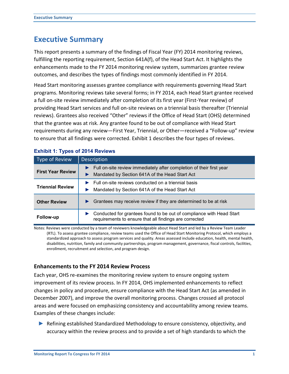## **Executive Summary**

This report presents a summary of the findings of Fiscal Year (FY) 2014 monitoring reviews, fulfilling the reporting requirement, Section 641A(f), of the Head Start Act. It highlights the enhancements made to the FY 2014 monitoring review system, summarizes grantee review outcomes, and describes the types of findings most commonly identified in FY 2014.

Head Start monitoring assesses grantee compliance with requirements governing Head Start programs. Monitoring reviews take several forms; in FY 2014, each Head Start grantee received a full on‐site review immediately after completion of its first year (First-Year review) of providing Head Start services and full on-site reviews on a triennial basis thereafter (Triennial reviews). Grantees also received "Other" reviews if the Office of Head Start (OHS) determined that the grantee was at risk. Any grantee found to be out of compliance with Head Start requirements during any review—First Year, Triennial, or Other—received a "Follow-up" review to ensure that all findings were corrected. Exhibit 1 describes the four types of reviews.

| Type of Review           | <b>Description</b>                                                                                                             |  |
|--------------------------|--------------------------------------------------------------------------------------------------------------------------------|--|
| <b>First Year Review</b> | Full on-site review immediately after completion of their first year<br>Mandated by Section 641A of the Head Start Act         |  |
| <b>Triennial Review</b>  | Full on-site reviews conducted on a triennial basis<br>Mandated by Section 641A of the Head Start Act                          |  |
| <b>Other Review</b>      | Grantees may receive review if they are determined to be at risk                                                               |  |
| Follow-up                | Conducted for grantees found to be out of compliance with Head Start<br>requirements to ensure that all findings are corrected |  |

#### <span id="page-3-0"></span>**Exhibit 1: Types of 2014 Reviews**

Notes: Reviews were conducted by a team of reviewers knowledgeable about Head Start and led by a Review Team Leader (RTL). To assess grantee compliance, review teams used the Office of Head Start Monitoring Protocol, which employs a standardized approach to assess program services and quality. Areas assessed include education, health, mental health, disabilities, nutrition, family and community partnerships, program management, governance, fiscal controls, facilities, enrollment, recruitment and selection, and program design.

#### **Enhancements to the FY 2014 Review Process**

Each year, OHS re-examines the monitoring review system to ensure ongoing system improvement of its review process. In FY 2014, OHS implemented enhancements to reflect changes in policy and procedure, ensure compliance with the Head Start Act (as amended in December 2007), and improve the overall monitoring process. Changes crossed all protocol areas and were focused on emphasizing consistency and accountability among review teams. Examples of these changes include:

► Refining established Standardized Methodology to ensure consistency, objectivity, and accuracy within the review process and to provide a set of high standards to which the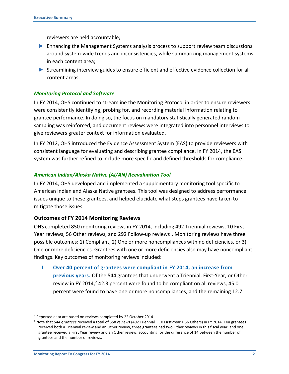reviewers are held accountable;

- ► Enhancing the Management Systems analysis process to support review team discussions around system-wide trends and inconsistencies, while summarizing management systems in each content area;
- ► Streamlining interview guides to ensure efficient and effective evidence collection for all content areas.

#### *Monitoring Protocol and Software*

In FY 2014, OHS continued to streamline the Monitoring Protocol in order to ensure reviewers were consistently identifying, probing for, and recording material information relating to grantee performance. In doing so, the focus on mandatory statistically generated random sampling was reinforced, and document reviews were integrated into personnel interviews to give reviewers greater context for information evaluated.

In FY 2012, OHS introduced the Evidence Assessment System (EAS) to provide reviewers with consistent language for evaluating and describing grantee compliance. In FY 2014, the EAS system was further refined to include more specific and defined thresholds for compliance.

#### *American Indian/Alaska Native (AI/AN) Reevaluation Tool*

In FY 2014, OHS developed and implemented a supplementary monitoring tool specific to American Indian and Alaska Native grantees. This tool was designed to address performance issues unique to these grantees, and helped elucidate what steps grantees have taken to mitigate those issues.

#### **Outcomes of FY 2014 Monitoring Reviews**

OHS completed 850 monitoring reviews in FY 2014, including 492 Triennial reviews, 10 First-Year reviews, 56 Other reviews, and 292 Follow-up reviews<sup>1</sup>. Monitoring reviews have three possible outcomes: 1) Compliant, 2) One or more noncompliances with no deficiencies, or 3) One or more deficiencies. Grantees with one or more deficiencies also may have noncompliant findings. Key outcomes of monitoring reviews included:

I. **Over 40 percent of grantees were compliant in FY 2014, an increase from previous years.** Of the 544 grantees that underwent a Triennial, First‐Year, or Other review in FY 2014, $2$  42.3 percent were found to be compliant on all reviews, 45.0 percent were found to have one or more noncompliances, and the remaining 12.7

 $\overline{a}$ 

<sup>&</sup>lt;sup>1</sup> Reported data are based on reviews completed by 22 October 2014.

<sup>2</sup> Note that 544 *grantees* received a total of 558 *reviews* (492 Triennial + 10 First-Year + 56 Others) in FY 2014. Ten grantees received both a Triennial review and an Other review, three grantees had two Other reviews in this fiscal year, and one grantee received a First Year review and an Other review, accounting for the difference of 14 between the number of grantees and the number of reviews.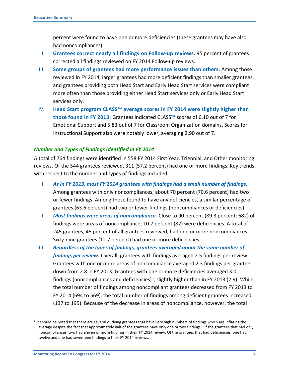percent were found to have one or more deficiencies (these grantees may have also had noncompliances).

- II. **Grantees correct nearly all findings on Follow-up reviews.** 95 percent of grantees corrected all findings reviewed on FY 2014 Follow-up reviews.
- III. **Some groups of grantees had more performance issues than others.** Among those reviewed in FY 2014, larger grantees had more deficient findings than smaller grantees, and grantees providing both Head Start and Early Head Start services were compliant more often than those providing either Head Start services only or Early Head Start services only.
- IV. **Head Start program CLASS™ average scores in FY 2014 were slightly higher than those found in FY 2013:** Grantees indicated CLASS**™** scores of 6.10 out of 7 for Emotional Support and 5.83 out of 7 for Classroom Organization domains. Scores for Instructional Support also were notably lower, averaging 2.90 out of 7.

#### *Number and Types of Findings Identified in FY 2014*

A total of 764 findings were identified in 558 FY 2014 First Year, Triennial, and Other monitoring reviews. Of the 544 grantees reviewed, 311 (57.2 percent) had one or more findings. Key trends with respect to the number and types of findings included:

- I. *As in FY 2013, most FY 2014 grantees with findings had a small number of findings.* Among grantees with only noncompliances, about 70 percent (70.6 percent) had two or fewer findings. Among those found to have any deficiencies, a similar percentage of grantees (63.6 percent) had two or fewer findings (noncompliances or deficiencies).
- II. *Most findings were areas of noncompliance.* Close to 90 percent (89.3 percent; 682) of findings were areas of noncompliance; 10.7 percent (82) were deficiencies. A total of 245 grantees, 45 percent of all grantees reviewed, had one or more noncompliances. Sixty-nine grantees (12.7 percent) had one or more deficiencies.
- III. *Regardless of the types of findings, grantees averaged about the same number of findings per review.* Overall, grantees with findings averaged 2.5 findings per review. Grantees with one or more areas of noncompliance averaged 2.3 findings per grantee; down from 2.8 in FY 2013. Grantees with one or more deficiencies averaged 3.0 findings (noncompliances and deficiencies)<sup>3</sup>, slightly higher than in FY 2013 (2.9). While the total number of findings among noncompliant grantees decreased from FY 2013 to FY 2014 (694 to 569), the total number of findings among deficient grantees increased (137 to 195). Because of the decrease in areas of noncompliance, however, the total

 $\overline{a}$ 

 $3$  It should be noted that there are several outlying grantees that have very high numbers of findings which are inflating the average despite the fact that approximately half of the grantees have only one or two findings. Of the grantees that had only noncompliances, two had eleven or more findings in their FY 2014 review. Of the grantees that had deficiencies, one had twelve and one had seventeen findings in their FY 2014 reviews.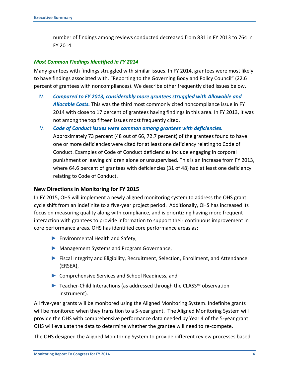number of findings among reviews conducted decreased from 831 in FY 2013 to 764 in FY 2014.

#### *Most Common Findings Identified in FY 2014*

Many grantees with findings struggled with similar issues. In FY 2014, grantees were most likely to have findings associated with, "Reporting to the Governing Body and Policy Council" (22.6 percent of grantees with noncompliances). We describe other frequently cited issues below.

- IV. *Compared to FY 2013, considerably more grantees struggled with Allowable and Allocable Costs.* This was the third most commonly cited noncompliance issue in FY 2014 with close to 17 percent of grantees having findings in this area. In FY 2013, it was not among the top fifteen issues most frequently cited.
- V. *Code of Conduct issues were common among grantees with deficiencies.* Approximately 73 percent (48 out of 66, 72.7 percent) of the grantees found to have one or more deficiencies were cited for at least one deficiency relating to Code of Conduct. Examples of Code of Conduct deficiencies include engaging in corporal punishment or leaving children alone or unsupervised. This is an increase from FY 2013, where 64.6 percent of grantees with deficiencies (31 of 48) had at least one deficiency relating to Code of Conduct.

#### **New Directions in Monitoring for FY 2015**

In FY 2015, OHS will implement a newly aligned monitoring system to address the OHS grant cycle shift from an indefinite to a five-year project period. Additionally, OHS has increased its focus on measuring quality along with compliance, and is prioritizing having more frequent interaction with grantees to provide information to support their continuous improvement in core performance areas. OHS has identified core performance areas as:

- ► Environmental Health and Safety,
- ► Management Systems and Program Governance,
- ► Fiscal Integrity and Eligibility, Recruitment, Selection, Enrollment, and Attendance (ERSEA),
- ► Comprehensive Services and School Readiness, and
- ► Teacher-Child Interactions (as addressed through the CLASS™ observation instrument).

All five-year grants will be monitored using the Aligned Monitoring System. Indefinite grants will be monitored when they transition to a 5-year grant. The Aligned Monitoring System will provide the OHS with comprehensive performance data needed by Year 4 of the 5-year grant. OHS will evaluate the data to determine whether the grantee will need to re-compete.

The OHS designed the Aligned Monitoring System to provide different review processes based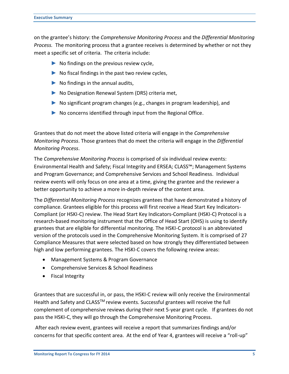on the grantee's history: the *Comprehensive Monitoring Process* and the *Differential Monitoring Process.* The monitoring process that a grantee receives is determined by whether or not they meet a specific set of criteria. The criteria include:

- $\triangleright$  No findings on the previous review cycle,
- $\triangleright$  No fiscal findings in the past two review cycles,
- $\triangleright$  No findings in the annual audits,
- ► No Designation Renewal System (DRS) criteria met,
- ► No significant program changes (e.g., changes in program leadership), and
- $\triangleright$  No concerns identified through input from the Regional Office.

Grantees that do not meet the above listed criteria will engage in the *Comprehensive Monitoring Process*. Those grantees that do meet the criteria will engage in the *Differential Monitoring Process*.

The *Comprehensive Monitoring Process* is comprised of six individual review events: Environmental Health and Safety; Fiscal Integrity and ERSEA; CLASS™; Management Systems and Program Governance; and Comprehensive Services and School Readiness. Individual review events will only focus on one area at a time, giving the grantee and the reviewer a better opportunity to achieve a more in-depth review of the content area.

The *Differential Monitoring Process* recognizes grantees that have demonstrated a history of compliance. Grantees eligible for this process will first receive a Head Start Key Indicators-Compliant (or HSKI-C) review. The Head Start Key Indicators-Compliant (HSKI-C) Protocol is a research-based monitoring instrument that the Office of Head Start (OHS) is using to identify grantees that are eligible for differential monitoring. The HSKI-C protocol is an abbreviated version of the protocols used in the Comprehensive Monitoring System. It is comprised of 27 Compliance Measures that were selected based on how strongly they differentiated between high and low performing grantees. The HSKI-C covers the following review areas:

- Management Systems & Program Governance
- Comprehensive Services & School Readiness
- Fiscal Integrity

Grantees that are successful in, or pass, the HSKI-C review will only receive the Environmental Health and Safety and CLASS<sup>™</sup> review events. Successful grantees will receive the full complement of comprehensive reviews during their next 5-year grant cycle. If grantees do not pass the HSKI-C, they will go through the Comprehensive Monitoring Process.

 After each review event, grantees will receive a report that summarizes findings and/or concerns for that specific content area. At the end of Year 4, grantees will receive a "roll-up"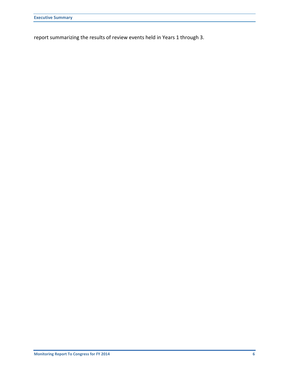report summarizing the results of review events held in Years 1 through 3.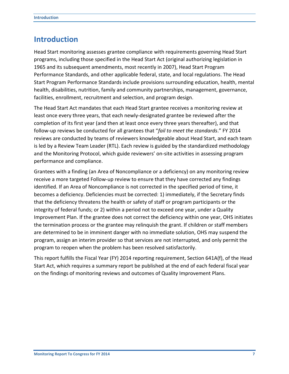### **Introduction**

Head Start monitoring assesses grantee compliance with requirements governing Head Start programs, including those specified in the Head Start Act (original authorizing legislation in 1965 and its subsequent amendments, most recently in 2007), Head Start Program Performance Standards, and other applicable federal, state, and local regulations. The Head Start Program Performance Standards include provisions surrounding education, health, mental health, disabilities, nutrition, family and community partnerships, management, governance, facilities, enrollment, recruitment and selection, and program design.

The Head Start Act mandates that each Head Start grantee receives a monitoring review at least once every three years, that each newly-designated grantee be reviewed after the completion of its first year (and then at least once every three years thereafter), and that follow‐up reviews be conducted for all grantees that "*fail to meet the standards*." FY 2014 reviews are conducted by teams of reviewers knowledgeable about Head Start, and each team is led by a Review Team Leader (RTL). Each review is guided by the standardized methodology and the Monitoring Protocol, which guide reviewers' on-site activities in assessing program performance and compliance.

Grantees with a finding (an Area of Noncompliance or a deficiency) on any monitoring review receive a more targeted Follow-up review to ensure that they have corrected any findings identified. If an Area of Noncompliance is not corrected in the specified period of time, it becomes a deficiency. Deficiencies must be corrected: 1) immediately, if the Secretary finds that the deficiency threatens the health or safety of staff or program participants or the integrity of federal funds; or 2) within a period not to exceed one year, under a Quality Improvement Plan. If the grantee does not correct the deficiency within one year, OHS initiates the termination process or the grantee may relinquish the grant. If children or staff members are determined to be in imminent danger with no immediate solution, OHS may suspend the program, assign an interim provider so that services are not interrupted, and only permit the program to reopen when the problem has been resolved satisfactorily.

This report fulfills the Fiscal Year (FY) 2014 reporting requirement, Section 641A(f), of the Head Start Act, which requires a summary report be published at the end of each federal fiscal year on the findings of monitoring reviews and outcomes of Quality Improvement Plans.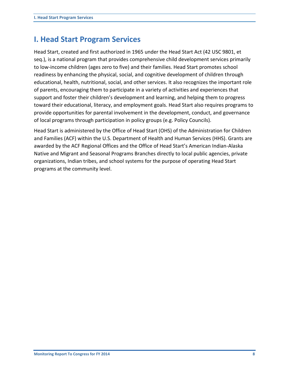### **I. Head Start Program Services**

Head Start, created and first authorized in 1965 under the Head Start Act (42 USC 9801, et seq.), is a national program that provides comprehensive child development services primarily to low‐income children (ages zero to five) and their families. Head Start promotes school readiness by enhancing the physical, social, and cognitive development of children through educational, health, nutritional, social, and other services. It also recognizes the important role of parents, encouraging them to participate in a variety of activities and experiences that support and foster their children's development and learning, and helping them to progress toward their educational, literacy, and employment goals. Head Start also requires programs to provide opportunities for parental involvement in the development, conduct, and governance of local programs through participation in policy groups (e.g. Policy Councils).

Head Start is administered by the Office of Head Start (OHS) of the Administration for Children and Families (ACF) within the U.S. Department of Health and Human Services (HHS). Grants are awarded by the ACF Regional Offices and the Office of Head Start's American Indian‐Alaska Native and Migrant and Seasonal Programs Branches directly to local public agencies, private organizations, Indian tribes, and school systems for the purpose of operating Head Start programs at the community level.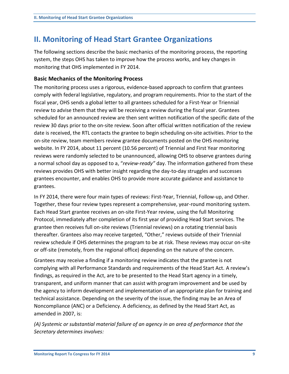## **II. Monitoring of Head Start Grantee Organizations**

The following sections describe the basic mechanics of the monitoring process, the reporting system, the steps OHS has taken to improve how the process works, and key changes in monitoring that OHS implemented in FY 2014.

#### **Basic Mechanics of the Monitoring Process**

The monitoring process uses a rigorous, evidence-based approach to confirm that grantees comply with federal legislative, regulatory, and program requirements. Prior to the start of the fiscal year, OHS sends a global letter to all grantees scheduled for a First‐Year or Triennial review to advise them that they will be receiving a review during the fiscal year. Grantees scheduled for an announced review are then sent written notification of the specific date of the review 30 days prior to the on‐site review. Soon after official written notification of the review date is received, the RTL contacts the grantee to begin scheduling on‐site activities. Prior to the on‐site review, team members review grantee documents posted on the OHS monitoring website. In FY 2014, about 11 percent (10.56 percent) of Triennial and First Year monitoring reviews were randomly selected to be unannounced, allowing OHS to observe grantees during a normal school day as opposed to a, "*review-ready"* day. The information gathered from these reviews provides OHS with better insight regarding the day-to-day struggles and successes grantees encounter, and enables OHS to provide more accurate guidance and assistance to grantees.

In FY 2014, there were four main types of reviews: First-Year, Triennial, Follow-up, and Other. Together, these four review types represent a comprehensive, year-round monitoring system. Each Head Start grantee receives an on-site First-Year review, using the full Monitoring Protocol, immediately after completion of its first year of providing Head Start services. The grantee then receives full on-site reviews (Triennial reviews) on a rotating triennial basis thereafter. Grantees also may receive targeted, "Other," reviews outside of their Triennial review schedule if OHS determines the program to be at risk. These reviews may occur on-site or off-site (remotely, from the regional office) depending on the nature of the concern.

Grantees may receive a finding if a monitoring review indicates that the grantee is not complying with all Performance Standards and requirements of the Head Start Act. A review's findings, as required in the Act, are to be presented to the Head Start agency in a timely, transparent, and uniform manner that can assist with program improvement and be used by the agency to inform development and implementation of an appropriate plan for training and technical assistance. Depending on the severity of the issue, the finding may be an Area of Noncompliance (ANC) or a Deficiency. A deficiency, as defined by the Head Start Act, as amended in 2007, is:

*(A) Systemic or substantial material failure of an agency in an area of performance that the Secretary determines involves:*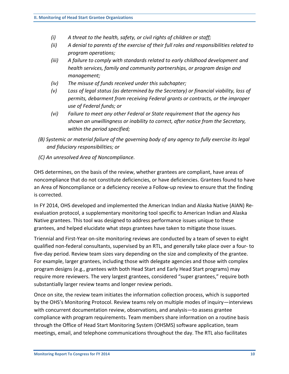- *(i) A threat to the health, safety, or civil rights of children or staff;*
- *(ii) A denial to parents of the exercise of their full roles and responsibilities related to program operations;*
- *(iii) A failure to comply with standards related to early childhood development and health services, family and community partnerships, or program design and management;*
- *(iv) The misuse of funds received under this subchapter;*
- *(v) Loss of legal status (as determined by the Secretary) or financial viability, loss of permits, debarment from receiving Federal grants or contracts, or the improper use of Federal funds; or*
- *(vi) Failure to meet any other Federal or State requirement that the agency has shown an unwillingness or inability to correct, after notice from the Secretary, within the period specified;*
- *(B) Systemic or material failure of the governing body of any agency to fully exercise its legal and fiduciary responsibilities; or*
- *(C) An unresolved Area of Noncompliance.*

OHS determines, on the basis of the review, whether grantees are compliant, have areas of noncompliance that do not constitute deficiencies, or have deficiencies. Grantees found to have an Area of Noncompliance or a deficiency receive a Follow-up review to ensure that the finding is corrected.

In FY 2014, OHS developed and implemented the American Indian and Alaska Native (AIAN) Reevaluation protocol, a supplementary monitoring tool specific to American Indian and Alaska Native grantees. This tool was designed to address performance issues unique to these grantees, and helped elucidate what steps grantees have taken to mitigate those issues.

Triennial and First‐Year on‐site monitoring reviews are conducted by a team of seven to eight qualified non‐federal consultants, supervised by an RTL, and generally take place over a four‐ to five-day period. Review team sizes vary depending on the size and complexity of the grantee. For example, larger grantees, including those with delegate agencies and those with complex program designs (e.g., grantees with both Head Start and Early Head Start programs) may require more reviewers. The very largest grantees, considered "super grantees," require both substantially larger review teams and longer review periods.

Once on site, the review team initiates the information collection process, which is supported by the OHS's Monitoring Protocol. Review teams rely on multiple modes of inquiry—interviews with concurrent documentation review, observations, and analysis—to assess grantee compliance with program requirements. Team members share information on a routine basis through the Office of Head Start Monitoring System (OHSMS) software application, team meetings, email, and telephone communications throughout the day. The RTL also facilitates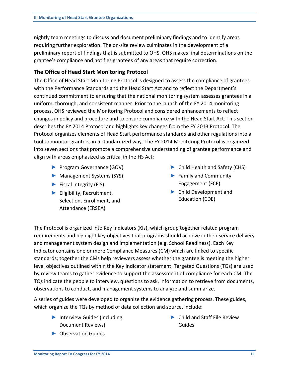nightly team meetings to discuss and document preliminary findings and to identify areas requiring further exploration. The on‐site review culminates in the development of a preliminary report of findings that is submitted to OHS. OHS makes final determinations on the grantee's compliance and notifies grantees of any areas that require correction.

#### **The Office of Head Start Monitoring Protocol**

The Office of Head Start Monitoring Protocol is designed to assess the compliance of grantees with the Performance Standards and the Head Start Act and to reflect the Department's continued commitment to ensuring that the national monitoring system assesses grantees in a uniform, thorough, and consistent manner. Prior to the launch of the FY 2014 monitoring process, OHS reviewed the Monitoring Protocol and considered enhancements to reflect changes in policy and procedure and to ensure compliance with the Head Start Act. This section describes the FY 2014 Protocol and highlights key changes from the FY 2013 Protocol. The Protocol organizes elements of Head Start performance standards and other regulations into a tool to monitor grantees in a standardized way. The FY 2014 Monitoring Protocol is organized into seven sections that promote a comprehensive understanding of grantee performance and align with areas emphasized as critical in the HS Act:

- ► Program Governance (GOV)
- ► Management Systems (SYS)
- ► Fiscal Integrity (FIS)
- ► Eligibility, Recruitment, Selection, Enrollment, and Attendance (ERSEA)
- ► Child Health and Safety (CHS)
- ► Family and Community Engagement (FCE)
- ► Child Development and Education (CDE)

The Protocol is organized into Key Indicators (KIs), which group together related program requirements and highlight key objectives that programs should achieve in their service delivery and management system design and implementation (e.g. School Readiness). Each Key Indicator contains one or more Compliance Measures (CM) which are linked to specific standards; together the CMs help reviewers assess whether the grantee is meeting the higher level objectives outlined within the Key Indicator statement. Targeted Questions (TQs) are used by review teams to gather evidence to support the assessment of compliance for each CM. The TQs indicate the people to interview, questions to ask, information to retrieve from documents, observations to conduct, and management systems to analyze and summarize.

A series of guides were developed to organize the evidence gathering process. These guides, which organize the TQs by method of data collection and source, include:

► Interview Guides (including Document Reviews)

► Child and Staff File Review Guides

► Observation Guides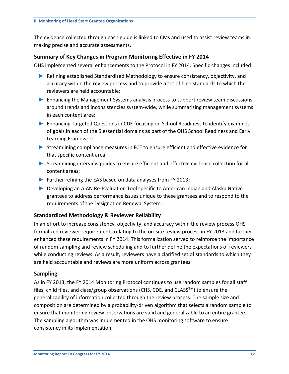The evidence collected through each guide is linked to CMs and used to assist review teams in making precise and accurate assessments.

#### **Summary of Key Changes in Program Monitoring Effective in FY 2014**

OHS implemented several enhancements to the Protocol in FY 2014. Specific changes included:

- ► Refining established Standardized Methodology to ensure consistency, objectivity, and accuracy within the review process and to provide a set of high standards to which the reviewers are held accountable;
- ► Enhancing the Management Systems analysis process to support review team discussions around trends and inconsistencies system-wide, while summarizing management systems in each content area;
- ► Enhancing Targeted Questions in CDE focusing on School Readiness to identify examples of goals in each of the 5 essential domains as part of the OHS School Readiness and Early Learning Framework.
- ► Streamlining compliance measures in FCE to ensure efficient and effective evidence for that specific content area;
- ► Streamlining interview guides to ensure efficient and effective evidence collection for all content areas;
- ► Further refining the EAS based on data analyses from FY 2013;
- ► Developing an AIAN Re-Evaluation Tool specific to American Indian and Alaska Native grantees to address performance issues unique to these grantees and to respond to the requirements of the Designation Renewal System.

#### **Standardized Methodology & Reviewer Reliability**

In an effort to increase consistency, objectivity, and accuracy within the review process OHS formalized reviewer requirements relating to the on-site review process in FY 2013 and further enhanced these requirements in FY 2014. This formalization served to reinforce the importance of random sampling and review scheduling and to further define the expectations of reviewers while conducting reviews. As a result, reviewers have a clarified set of standards to which they are held accountable and reviews are more uniform across grantees.

#### **Sampling**

As in FY 2013, the FY 2014 Monitoring Protocol continues to use random samples for all staff files, child files, and class/group observations (CHS, CDE, and CLASS<sup>TM</sup>) to ensure the generalizability of information collected through the review process. The sample size and composition are determined by a probability-driven algorithm that selects a random sample to ensure that monitoring review observations are valid and generalizable to an entire grantee. The sampling algorithm was implemented in the OHS monitoring software to ensure consistency in its implementation.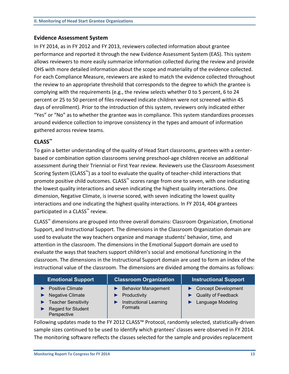#### **Evidence Assessment System**

In FY 2014, as in FY 2012 and FY 2013, reviewers collected information about grantee performance and reported it through the new Evidence Assessment System (EAS). This system allows reviewers to more easily summarize information collected during the review and provide OHS with more detailed information about the scope and materiality of the evidence collected. For each Compliance Measure, reviewers are asked to match the evidence collected throughout the review to an appropriate threshold that corresponds to the degree to which the grantee is complying with the requirements (e.g., the review selects whether 0 to 5 percent, 6 to 24 percent or 25 to 50 percent of files reviewed indicate children were not screened within 45 days of enrollment). Prior to the introduction of this system, reviewers only indicated either "Yes" or "No" as to whether the grantee was in compliance. This system standardizes processes around evidence collection to improve consistency in the types and amount of information gathered across review teams.

#### **CLASS™**

To gain a better understanding of the quality of Head Start classrooms, grantees with a centerbased or combination option classrooms serving preschool-age children receive an additional assessment during their Triennial or First Year review. Reviewers use the Classroom Assessment Scoring System (CLASS™) as a tool to evaluate the quality of teacher-child interactions that promote positive child outcomes. CLASS<sup>™</sup> scores range from one to seven, with one indicating the lowest quality interactions and seven indicating the highest quality interactions. One dimension, Negative Climate, is inverse scored, with seven indicating the lowest quality interactions and one indicating the highest quality interactions. In FY 2014, 404 grantees participated in a CLASS<sup>™</sup> review.

CLASS™ dimensions are grouped into three overall domains: Classroom Organization, Emotional Support, and Instructional Support. The dimensions in the Classroom Organization domain are used to evaluate the way teachers organize and manage students' behavior, time, and attention in the classroom. The dimensions in the Emotional Support domain are used to evaluate the ways that teachers support children's social and emotional functioning in the classroom. The dimensions in the Instructional Support domain are used to form an index of the instructional value of the classroom. The dimensions are divided among the domains as follows:

| <b>Emotional Support</b>                                                                                                     | <b>Classroom Organization</b>                                                                 | <b>Instructional Support</b>                                           |
|------------------------------------------------------------------------------------------------------------------------------|-----------------------------------------------------------------------------------------------|------------------------------------------------------------------------|
| <b>Positive Climate</b><br><b>Negative Climate</b><br><b>Teacher Sensitivity</b><br><b>Regard for Student</b><br>Perspective | <b>Behavior Management</b><br>Productivity<br><b>Instructional Learning</b><br><b>Formats</b> | Concept Development<br><b>Quality of Feedback</b><br>Language Modeling |

Following updates made to the FY 2012 CLASS™ Protocol, randomly selected, statistically-driven sample sizes continued to be used to identify which grantees' classes were observed in FY 2014. The monitoring software reflects the classes selected for the sample and provides replacement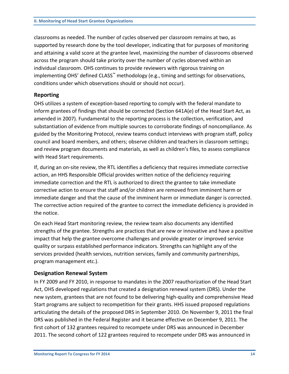classrooms as needed. The number of cycles observed per classroom remains at two, as supported by research done by the tool developer, indicating that for purposes of monitoring and attaining a valid score at the grantee level, maximizing the number of classrooms observed across the program should take priority over the number of cycles observed within an individual classroom. OHS continues to provide reviewers with rigorous training on implementing OHS' defined CLASS<sup>™</sup> methodology (e.g., timing and settings for observations, conditions under which observations should or should not occur).

#### **Reporting**

OHS utilizes a system of exception‐based reporting to comply with the federal mandate to inform grantees of findings that should be corrected (Section 641A(e) of the Head Start Act, as amended in 2007). Fundamental to the reporting process is the collection, verification, and substantiation of evidence from multiple sources to corroborate findings of noncompliance. As guided by the Monitoring Protocol, review teams conduct interviews with program staff, policy council and board members, and others; observe children and teachers in classroom settings; and review program documents and materials, as well as children's files, to assess compliance with Head Start requirements.

If, during an on‐site review, the RTL identifies a deficiency that requires immediate corrective action, an HHS Responsible Official provides written notice of the deficiency requiring immediate correction and the RTL is authorized to direct the grantee to take immediate corrective action to ensure that staff and/or children are removed from imminent harm or immediate danger and that the cause of the imminent harm or immediate danger is corrected. The corrective action required of the grantee to correct the immediate deficiency is provided in the notice.

On each Head Start monitoring review, the review team also documents any identified strengths of the grantee. Strengths are practices that are new or innovative and have a positive impact that help the grantee overcome challenges and provide greater or improved service quality or surpass established performance indicators. Strengths can highlight any of the services provided (health services, nutrition services, family and community partnerships, program management etc.).

#### **Designation Renewal System**

In FY 2009 and FY 2010, in response to mandates in the 2007 reauthorization of the Head Start Act, OHS developed regulations that created a designation renewal system (DRS). Under the new system, grantees that are not found to be delivering high-quality and comprehensive Head Start programs are subject to recompetition for their grants. HHS issued proposed regulations articulating the details of the proposed DRS in September 2010. On November 9, 2011 the final DRS was published in the Federal Register and it became effective on December 9, 2011. The first cohort of 132 grantees required to recompete under DRS was announced in December 2011. The second cohort of 122 grantees required to recompete under DRS was announced in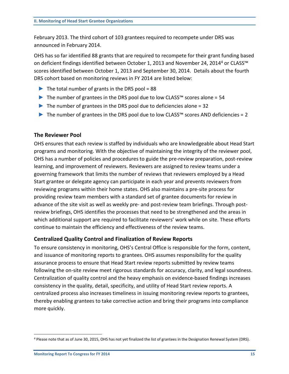February 2013. The third cohort of 103 grantees required to recompete under DRS was announced in February 2014.

OHS has so far identified 88 grants that are required to recompete for their grant funding based on deficient findings identified between October 1, 2013 and November 24, 2014<sup>4</sup> or CLASS<sup>™</sup> scores identified between October 1, 2013 and September 30, 2014. Details about the fourth DRS cohort based on monitoring reviews in FY 2014 are listed below:

- $\triangleright$  The total number of grants in the DRS pool = 88
- The number of grantees in the DRS pool due to low CLASS<sup>™</sup> scores alone = 54
- $\blacktriangleright$  The number of grantees in the DRS pool due to deficiencies alone = 32
- $\triangleright$  The number of grantees in the DRS pool due to low CLASS<sup>™</sup> scores AND deficiencies = 2

#### **The Reviewer Pool**

OHS ensures that each review is staffed by individuals who are knowledgeable about Head Start programs and monitoring. With the objective of maintaining the integrity of the reviewer pool, OHS has a number of policies and procedures to guide the pre-review preparation, post-review learning, and improvement of reviewers. Reviewers are assigned to review teams under a governing framework that limits the number of reviews that reviewers employed by a Head Start grantee or delegate agency can participate in each year and prevents reviewers from reviewing programs within their home states. OHS also maintains a pre‐site process for providing review team members with a standard set of grantee documents for review in advance of the site visit as well as weekly pre- and post-review team briefings. Through postreview briefings, OHS identifies the processes that need to be strengthened and the areas in which additional support are required to facilitate reviewers' work while on site. These efforts continue to maintain the efficiency and effectiveness of the review teams.

#### **Centralized Quality Control and Finalization of Review Reports**

To ensure consistency in monitoring, OHS's Central Office is responsible for the form, content, and issuance of monitoring reports to grantees. OHS assumes responsibility for the quality assurance process to ensure that Head Start review reports submitted by review teams following the on‐site review meet rigorous standards for accuracy, clarity, and legal soundness. Centralization of quality control and the heavy emphasis on evidence‐based findings increases consistency in the quality, detail, specificity, and utility of Head Start review reports. A centralized process also increases timeliness in issuing monitoring review reports to grantees, thereby enabling grantees to take corrective action and bring their programs into compliance more quickly.

 $\overline{a}$ 

<sup>4</sup> Please note that as of June 30, 2015, OHS has not yet finalized the list of grantees in the Designation Renewal System (DRS).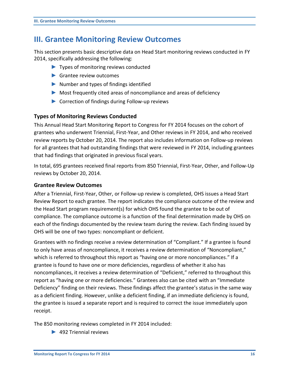### **III. Grantee Monitoring Review Outcomes**

This section presents basic descriptive data on Head Start monitoring reviews conducted in FY 2014, specifically addressing the following:

- ► Types of monitoring reviews conducted
- ▶ Grantee review outcomes
- ► Number and types of findings identified
- ► Most frequently cited areas of noncompliance and areas of deficiency
- ► Correction of findings during Follow-up reviews

#### **Types of Monitoring Reviews Conducted**

This Annual Head Start Monitoring Report to Congress for FY 2014 focuses on the cohort of grantees who underwent Triennial, First‐Year, and Other reviews in FY 2014, and who received review reports by October 20, 2014. The report also includes information on Follow‐up reviews for all grantees that had outstanding findings that were reviewed in FY 2014, including grantees that had findings that originated in previous fiscal years.

In total, 695 grantees received final reports from 850 Triennial, First-Year, Other, and Follow-Up reviews by October 20, 2014.

#### **Grantee Review Outcomes**

After a Triennial, First-Year, Other, or Follow-up review is completed, OHS issues a Head Start Review Report to each grantee. The report indicates the compliance outcome of the review and the Head Start program requirement(s) for which OHS found the grantee to be out of compliance. The compliance outcome is a function of the final determination made by OHS on each of the findings documented by the review team during the review. Each finding issued by OHS will be one of two types: noncompliant or deficient.

Grantees with no findings receive a review determination of "Compliant." If a grantee is found to only have areas of noncompliance, it receives a review determination of "Noncompliant," which is referred to throughout this report as "having one or more noncompliances." If a grantee is found to have one or more deficiencies, regardless of whether it also has noncompliances, it receives a review determination of "Deficient," referred to throughout this report as "having one or more deficiencies." Grantees also can be cited with an "Immediate Deficiency" finding on their reviews. These findings affect the grantee's status in the same way as a deficient finding. However, unlike a deficient finding, if an immediate deficiency is found, the grantee is issued a separate report and is required to correct the issue immediately upon receipt.

The 850 monitoring reviews completed in FY 2014 included:

► 492 Triennial reviews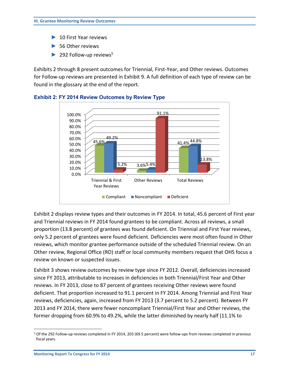- ► 10 First Year reviews
- ► 56 Other reviews
- $\blacktriangleright$  292 Follow-up reviews<sup>5</sup>

Exhibits 2 through 8 present outcomes for Triennial, First-Year, and Other reviews. Outcomes for Follow-up reviews are presented in Exhibit 9. A full definition of each type of review can be found in the glossary at the end of the report.



#### <span id="page-19-0"></span>**Exhibit 2: FY 2014 Review Outcomes by Review Type**

Exhibit 2 displays review types and their outcomes in FY 2014. In total, 45.6 percent of First year and Triennial reviews in FY 2014 found grantees to be compliant. Across all reviews, a small proportion (13.8 percent) of grantees was found deficient. On Triennial and First Year reviews, only 5.2 percent of grantees were found deficient. Deficiencies were most often found in Other reviews, which monitor grantee performance outside of the scheduled Triennial review. On an Other review, Regional Office (RO) staff or local community members request that OHS focus a review on known or suspected issues.

Exhibit 3 shows review outcomes by review type since FY 2012. Overall, deficiencies increased since FY 2013, attributable to increases in deficiencies in both Triennial/First Year and Other reviews. In FY 2013, close to 87 percent of grantees receiving Other reviews were found deficient. That proportion increased to 91.1 percent in FY 2014. Among Triennial and First Year reviews, deficiencies, again, increased from FY 2013 (3.7 percent to 5.2 percent). Between FY 2013 and FY 2014, there were fewer noncompliant Triennial/First Year and Other reviews, the former dropping from 60.9% to 49.2%, while the latter diminished by nearly half (11.1% to

 $\overline{a}$ 

<sup>5</sup> Of the 292 Follow-up reviews completed in FY 2014, 203 (69.5 percent) were follow-ups from reviews completed in previous fiscal years.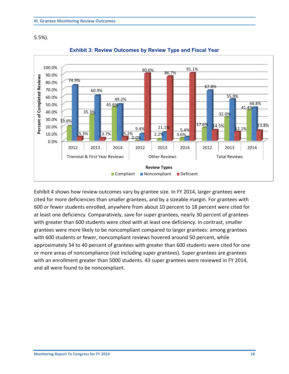5.5%).

<span id="page-20-0"></span>

#### **Exhibit 3: Review Outcomes by Review Type and Fiscal Year**

Exhibit 4 shows how review outcomes vary by grantee size. In FY 2014, larger grantees were cited for more deficiencies than smaller grantees, and by a sizeable margin. For grantees with 600 or fewer students enrolled, anywhere from about 10 percent to 18 percent were cited for at least one deficiency. Comparatively, save for super grantees, nearly 30 percent of grantees with greater than 600 students were cited with at least one deficiency. In contrast, smaller grantees were more likely to be noncompliant compared to larger grantees: among grantees with 600 students or fewer, noncompliant reviews hovered around 50 percent, while approximately 34 to 40 percent of grantees with greater than 600 students were cited for one or more areas of noncompliance (not including super grantees). Super grantees are grantees with an enrollment greater than 5000 students. 43 super grantees were reviewed in FY 2014, and all were found to be noncompliant.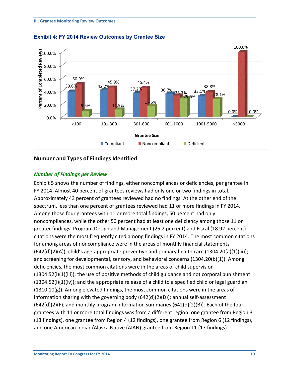

<span id="page-21-0"></span>

#### **Number and Types of Findings Identified**

#### *Number of Findings per Review*

Exhibit 5 shows the number of findings, either noncompliances or deficiencies, per grantee in FY 2014. Almost 40 percent of grantees reviews had only one or two findings in total. Approximately 43 percent of grantees reviewed had no findings. At the other end of the spectrum, less than one percent of grantees reviewed had 11 or more findings in FY 2014. Among those four grantees with 11 or more total findings, 50 percent had only noncompliances, while the other 50 percent had at least one deficiency among those 11 or greater findings. Program Design and Management (25.2 percent) and Fiscal (18.92 percent) citations were the most frequently cited among findings in FY 2014. The most common citations for among areas of noncompliance were in the areas of monthly financial statements  $(642(d)(2)(A))$ ; child's age-appropriate preventive and primary health care  $(1304.20(a)(1)(iii))$ ; and screening for developmental, sensory, and behavioral concerns (1304.20(b)(1)). Among deficiencies, the most common citations were in the areas of child supervision (1304.52(i)(1)(iii)); the use of positive methods of child guidance and not corporal punishment  $(1304.52(i)(1)(iv))$ ; and the appropriate release of a child to a specified child or legal guardian  $(1310.10(g))$ . Among elevated findings, the most common citations were in the areas of information sharing with the governing body (642(d)(2)(D)); annual self-assessment  $(642(d)(2)(F)$ ; and monthly program information summaries  $(642(d)(2)(B))$ . Each of the four grantees with 11 or more total findings was from a different region: one grantee from Region 3 (13 findings), one grantee from Region 4 (12 findings), one grantee from Region 6 (12 findings), and one American Indian/Alaska Native (AIAN) grantee from Region 11 (17 findings).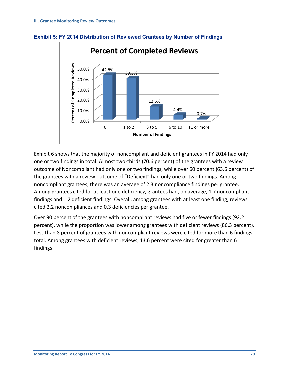

#### <span id="page-22-0"></span>**Exhibit 5: FY 2014 Distribution of Reviewed Grantees by Number of Findings**

Exhibit 6 shows that the majority of noncompliant and deficient grantees in FY 2014 had only one or two findings in total. Almost two-thirds (70.6 percent) of the grantees with a review outcome of Noncompliant had only one or two findings, while over 60 percent (63.6 percent) of the grantees with a review outcome of "Deficient" had only one or two findings. Among noncompliant grantees, there was an average of 2.3 noncompliance findings per grantee. Among grantees cited for at least one deficiency, grantees had, on average, 1.7 noncompliant findings and 1.2 deficient findings. Overall, among grantees with at least one finding, reviews cited 2.2 noncompliances and 0.3 deficiencies per grantee.

Over 90 percent of the grantees with noncompliant reviews had five or fewer findings (92.2 percent), while the proportion was lower among grantees with deficient reviews (86.3 percent). Less than 8 percent of grantees with noncompliant reviews were cited for more than 6 findings total. Among grantees with deficient reviews, 13.6 percent were cited for greater than 6 findings.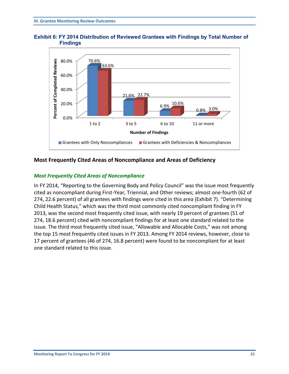<span id="page-23-0"></span>



#### **Most Frequently Cited Areas of Noncompliance and Areas of Deficiency**

#### *Most Frequently Cited Areas of Noncompliance*

In FY 2014, "Reporting to the Governing Body and Policy Council" was the issue most frequently cited as noncompliant during First-Year, Triennial, and Other reviews; almost one-fourth (62 of 274, 22.6 percent) of all grantees with findings were cited in this area (Exhibit 7). "Determining Child Health Status," which was the third most commonly cited noncompliant finding in FY 2013, was the second most frequently cited issue, with nearly 19 percent of grantees (51 of 274, 18.6 percent) cited with noncompliant findings for at least one standard related to the issue. The third most frequently cited issue, "Allowable and Allocable Costs," was not among the top 15 most frequently cited issues in FY 2013. Among FY 2014 reviews, however, close to 17 percent of grantees (46 of 274, 16.8 percent) were found to be noncompliant for at least one standard related to this issue.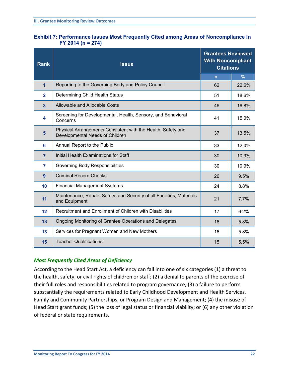<span id="page-24-0"></span>

|                     | <b>Exhibit 7: Performance Issues Most Frequently Cited among Areas of Noncompliance in</b> |
|---------------------|--------------------------------------------------------------------------------------------|
| $FY$ 2014 (n = 274) |                                                                                            |

| <b>Rank</b>    | <b>Grantees Reviewed</b><br><b>With Noncompliant</b><br><b>Issue</b><br><b>Citations</b>        |                |               |
|----------------|-------------------------------------------------------------------------------------------------|----------------|---------------|
|                |                                                                                                 | $\overline{n}$ | $\frac{9}{6}$ |
| $\overline{1}$ | Reporting to the Governing Body and Policy Council                                              | 62             | 22.6%         |
| $\overline{2}$ | Determining Child Health Status                                                                 | 51             | 18.6%         |
| 3              | Allowable and Allocable Costs                                                                   | 46             | 16.8%         |
| 4              | Screening for Developmental, Health, Sensory, and Behavioral<br>Concerns                        | 41             | 15.0%         |
| $5\phantom{1}$ | Physical Arrangements Consistent with the Health, Safety and<br>Developmental Needs of Children | 37             | 13.5%         |
| 6              | Annual Report to the Public                                                                     | 33             | 12.0%         |
| $\overline{7}$ | Initial Health Examinations for Staff                                                           | 30             | 10.9%         |
| $\overline{7}$ | Governing Body Responsibilities                                                                 | 30             | 10.9%         |
| 9              | <b>Criminal Record Checks</b>                                                                   | 26             | 9.5%          |
| 10             | <b>Financial Management Systems</b>                                                             | 24             | 8.8%          |
| 11             | Maintenance, Repair, Safety, and Security of all Facilities, Materials<br>and Equipment         | 21             | 7.7%          |
| 12             | Recruitment and Enrollment of Children with Disabilities                                        | 17             | 6.2%          |
| 13             | Ongoing Monitoring of Grantee Operations and Delegates                                          | 16             | 5.8%          |
| 13             | Services for Pregnant Women and New Mothers                                                     | 16             | 5.8%          |
| 15             | <b>Teacher Qualifications</b>                                                                   | 15             | 5.5%          |

#### *Most Frequently Cited Areas of Deficiency*

According to the Head Start Act, a deficiency can fall into one of six categories (1) a threat to the health, safety, or civil rights of children or staff; (2) a denial to parents of the exercise of their full roles and responsibilities related to program governance; (3) a failure to perform substantially the requirements related to Early Childhood Development and Health Services, Family and Community Partnerships, or Program Design and Management; (4) the misuse of Head Start grant funds; (5) the loss of legal status or financial viability; or (6) any other violation of federal or state requirements.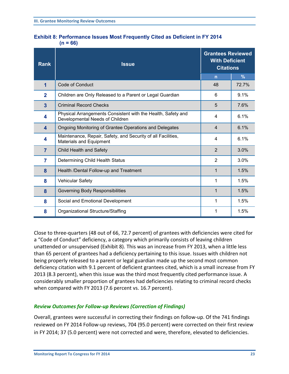<span id="page-25-0"></span>

| <b>Exhibit 8: Performance Issues Most Frequently Cited as Deficient in FY 2014</b> |  |  |
|------------------------------------------------------------------------------------|--|--|
| $(n = 66)$                                                                         |  |  |

| <b>Rank</b>    | <b>Issue</b>                                                                                    | <b>Grantees Reviewed</b><br><b>With Deficient</b><br><b>Citations</b> |       |
|----------------|-------------------------------------------------------------------------------------------------|-----------------------------------------------------------------------|-------|
|                |                                                                                                 | $\overline{n}$                                                        | $\%$  |
| 1              | <b>Code of Conduct</b>                                                                          | 48                                                                    | 72.7% |
| $\mathbf{2}$   | Children are Only Released to a Parent or Legal Guardian                                        | 6                                                                     | 9.1%  |
| $\overline{3}$ | <b>Criminal Record Checks</b>                                                                   | 5                                                                     | 7.6%  |
| 4              | Physical Arrangements Consistent with the Health, Safety and<br>Developmental Needs of Children | 4                                                                     | 6.1%  |
| 4              | Ongoing Monitoring of Grantee Operations and Delegates                                          | $\overline{4}$                                                        | 6.1%  |
| 4              | Maintenance, Repair, Safety, and Security of all Facilities,<br><b>Materials and Equipment</b>  | 4                                                                     | 6.1%  |
| $\overline{7}$ | Child Health and Safety                                                                         | 2                                                                     | 3.0%  |
| 7              | Determining Child Health Status                                                                 | $\overline{2}$                                                        | 3.0%  |
| 8              | Health /Dental Follow-up and Treatment                                                          | 1                                                                     | 1.5%  |
| 8              | <b>Vehicular Safety</b>                                                                         | 1                                                                     | 1.5%  |
| 8              | Governing Body Responsibilities                                                                 | 1                                                                     | 1.5%  |
| 8              | Social and Emotional Development                                                                | 1                                                                     | 1.5%  |
| 8              | Organizational Structure/Staffing                                                               | 1                                                                     | 1.5%  |

Close to three-quarters (48 out of 66, 72.7 percent) of grantees with deficiencies were cited for a "Code of Conduct" deficiency, a category which primarily consists of leaving children unattended or unsupervised (Exhibit 8). This was an increase from FY 2013, when a little less than 65 percent of grantees had a deficiency pertaining to this issue. Issues with children not being properly released to a parent or legal guardian made up the second most common deficiency citation with 9.1 percent of deficient grantees cited, which is a small increase from FY 2013 (8.3 percent), when this issue was the third most frequently cited performance issue. A considerably smaller proportion of grantees had deficiencies relating to criminal record checks when compared with FY 2013 (7.6 percent vs. 16.7 percent).

#### *Review Outcomes for Follow-up Reviews (Correction of Findings)*

Overall, grantees were successful in correcting their findings on follow-up. Of the 741 findings reviewed on FY 2014 Follow-up reviews, 704 (95.0 percent) were corrected on their first review in FY 2014; 37 (5.0 percent) were not corrected and were, therefore, elevated to deficiencies.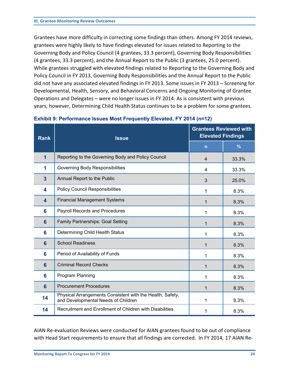Grantees have more difficulty in correcting some findings than others. Among FY 2014 reviews, grantees were highly likely to have findings elevated for issues related to Reporting to the Governing Body and Policy Council (4 grantees, 33.3 percent), Governing Body Responsibilities (4 grantees, 33.3 percent), and the Annual Report to the Public (3 grantees, 25.0 percent). While grantees struggled with elevated findings related to Reporting to the Governing Body and Policy Council in FY 2013, Governing Body Responsibilities and the Annual Report to the Public did not have any associated elevated findings in FY 2013. Some issues in FY 2013 – Screening for Developmental, Health, Sensory, and Behavioral Concerns and Ongoing Monitoring of Grantee Operations and Delegates – were no longer issues in FY 2014. As is consistent with previous years, however, Determining Child Health Status continues to be a problem for some grantees.

| <b>Rank</b>    | <b>Issue</b>                                                                                     | <b>Grantees Reviewed with</b><br><b>Elevated Findings</b> |               |
|----------------|--------------------------------------------------------------------------------------------------|-----------------------------------------------------------|---------------|
|                |                                                                                                  | $\overline{n}$                                            | $\frac{9}{6}$ |
| $\overline{1}$ | Reporting to the Governing Body and Policy Council                                               | $\overline{4}$                                            | 33.3%         |
| 1              | <b>Governing Body Responsibilities</b>                                                           | 4                                                         | 33.3%         |
| $\overline{3}$ | Annual Report to the Public                                                                      | 3                                                         | 25.0%         |
| 4              | <b>Policy Council Responsibilities</b>                                                           | 1                                                         | 8.3%          |
| 4              | <b>Financial Management Systems</b>                                                              | 1                                                         | 8.3%          |
| 6              | Payroll Records and Procedures                                                                   | 1                                                         | 8.3%          |
| 6              | Family Partnerships: Goal Setting                                                                | 1                                                         | 8.3%          |
| 6              | Determining Child Health Status                                                                  | 1                                                         | 8.3%          |
| 6              | <b>School Readiness</b>                                                                          | 1                                                         | 8.3%          |
| 6              | Period of Availability of Funds                                                                  | 1                                                         | 8.3%          |
| 6              | <b>Criminal Record Checks</b>                                                                    | 1                                                         | 8.3%          |
| 6              | Program Planning                                                                                 | 1                                                         | 8.3%          |
| $6\phantom{a}$ | <b>Procurement Procedures</b>                                                                    | 1                                                         | 8.3%          |
| 14             | Physical Arrangements Consistent with the Health, Safety,<br>and Developmental Needs of Children | 1                                                         | 8.3%          |
| 14             | Recruitment and Enrollment of Children with Disabilities                                         | 1                                                         | 8.3%          |

#### <span id="page-26-0"></span>**Exhibit 9: Performance Issues Most Frequently Elevated, FY 2014 (n=12)**

AIAN Re-evaluation Reviews were conducted for AIAN grantees found to be out of compliance with Head Start requirements to ensure that all findings are corrected. In FY 2014, 17 AIAN Re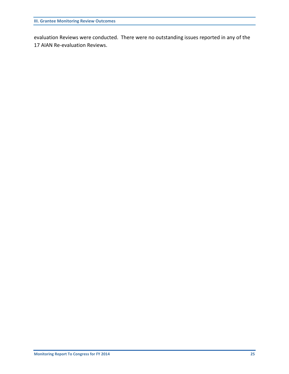evaluation Reviews were conducted. There were no outstanding issues reported in any of the 17 AIAN Re-evaluation Reviews.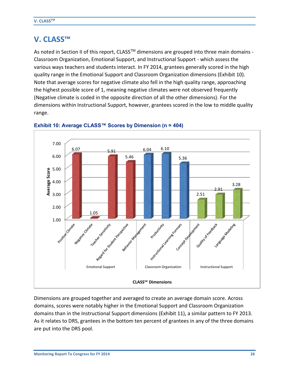### **V. CLASS™**

As noted in Section II of this report, CLASS<sup>™</sup> dimensions are grouped into three main domains -Classroom Organization, Emotional Support, and Instructional Support - which assess the various ways teachers and students interact. In FY 2014, grantees generally scored in the high quality range in the Emotional Support and Classroom Organization dimensions (Exhibit 10). Note that average scores for negative climate also fell in the high quality range, approaching the highest possible score of 1, meaning negative climates were not observed frequently (Negative climate is coded in the opposite direction of all the other dimensions). For the dimensions within Instructional Support, however, grantees scored in the low to middle quality range.



#### <span id="page-28-0"></span>**Exhibit 10: Average CLASS™ Scores by Dimension (n = 404)**

Dimensions are grouped together and averaged to create an average domain score. Across domains, scores were notably higher in the Emotional Support and Classroom Organization domains than in the Instructional Support dimensions (Exhibit 11), a similar pattern to FY 2013. As it relates to DRS, grantees in the bottom ten percent of grantees in any of the three domains are put into the DRS pool.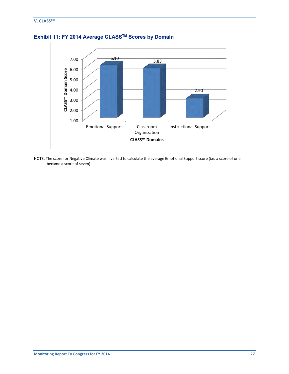

<span id="page-29-0"></span>**Exhibit 11: FY 2014 Average CLASSTM Scores by Domain** 

NOTE: The score for Negative Climate was inverted to calculate the average Emotional Support score (i.e. a score of one became a score of seven)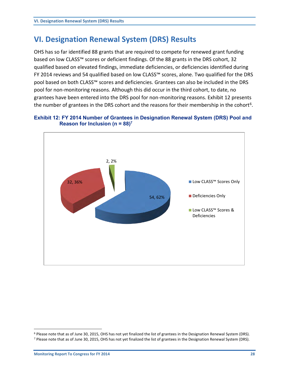## **VI. Designation Renewal System (DRS) Results**

OHS has so far identified 88 grants that are required to compete for renewed grant funding based on low CLASS™ scores or deficient findings. Of the 88 grants in the DRS cohort, 32 qualified based on elevated findings, immediate deficiencies, or deficiencies identified during FY 2014 reviews and 54 qualified based on low CLASS™ scores, alone. Two qualified for the DRS pool based on both CLASS™ scores and deficiencies. Grantees can also be included in the DRS pool for non-monitoring reasons. Although this did occur in the third cohort, to date, no grantees have been entered into the DRS pool for non-monitoring reasons. Exhibit 12 presents the number of grantees in the DRS cohort and the reasons for their membership in the cohort<sup>6</sup>.

<span id="page-30-0"></span>



 $\overline{a}$ 

<sup>&</sup>lt;sup>6</sup> Please note that as of June 30, 2015, OHS has not yet finalized the list of grantees in the Designation Renewal System (DRS).

<sup>&</sup>lt;sup>7</sup> Please note that as of June 30, 2015, OHS has not yet finalized the list of grantees in the Designation Renewal System (DRS).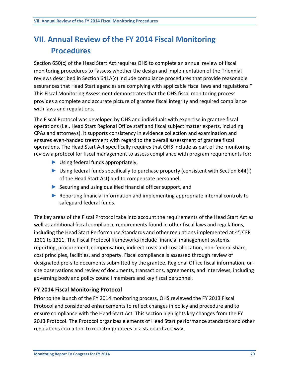# **VII. Annual Review of the FY 2014 Fiscal Monitoring Procedures**

Section 650(c) of the Head Start Act requires OHS to complete an annual review of fiscal monitoring procedures to "assess whether the design and implementation of the Triennial reviews described in Section 641A(c) include compliance procedures that provide reasonable assurances that Head Start agencies are complying with applicable fiscal laws and regulations." This Fiscal Monitoring Assessment demonstrates that the OHS fiscal monitoring process provides a complete and accurate picture of grantee fiscal integrity and required compliance with laws and regulations.

The Fiscal Protocol was developed by OHS and individuals with expertise in grantee fiscal operations (i.e., Head Start Regional Office staff and fiscal subject matter experts, including CPAs and attorneys). It supports consistency in evidence collection and examination and ensures even-handed treatment with regard to the overall assessment of grantee fiscal operations. The Head Start Act specifically requires that OHS include as part of the monitoring review a protocol for fiscal management to assess compliance with program requirements for:

- ► Using federal funds appropriately,
- ► Using federal funds specifically to purchase property (consistent with Section 644(f) of the Head Start Act) and to compensate personnel,
- ► Securing and using qualified financial officer support, and
- ► Reporting financial information and implementing appropriate internal controls to safeguard federal funds.

The key areas of the Fiscal Protocol take into account the requirements of the Head Start Act as well as additional fiscal compliance requirements found in other fiscal laws and regulations, including the Head Start Performance Standards and other regulations implemented at 45 CFR 1301 to 1311. The Fiscal Protocol frameworks include financial management systems, reporting, procurement, compensation, indirect costs and cost allocation, non-federal share, cost principles, facilities, and property. Fiscal compliance is assessed through review of designated pre-site documents submitted by the grantee, Regional Office fiscal information, onsite observations and review of documents, transactions, agreements, and interviews, including governing body and policy council members and key fiscal personnel.

#### **FY 2014 Fiscal Monitoring Protocol**

Prior to the launch of the FY 2014 monitoring process, OHS reviewed the FY 2013 Fiscal Protocol and considered enhancements to reflect changes in policy and procedure and to ensure compliance with the Head Start Act. This section highlights key changes from the FY 2013 Protocol. The Protocol organizes elements of Head Start performance standards and other regulations into a tool to monitor grantees in a standardized way.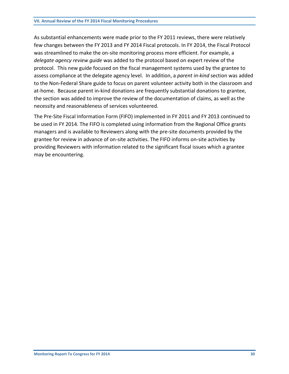As substantial enhancements were made prior to the FY 2011 reviews, there were relatively few changes between the FY 2013 and FY 2014 Fiscal protocols. In FY 2014, the Fiscal Protocol was streamlined to make the on-site monitoring process more efficient. For example, a *delegate agency review guide* was added to the protocol based on expert review of the protocol. This new guide focused on the fiscal management systems used by the grantee to assess compliance at the delegate agency level. In addition, a *parent in-kind* section was added to the Non-Federal Share guide to focus on parent volunteer activity both in the classroom and at-home. Because parent in-kind donations are frequently substantial donations to grantee, the section was added to improve the review of the documentation of claims, as well as the necessity and reasonableness of services volunteered.

The Pre-Site Fiscal Information Form (FIFO) implemented in FY 2011 and FY 2013 continued to be used in FY 2014. The FIFO is completed using information from the Regional Office grants managers and is available to Reviewers along with the pre-site documents provided by the grantee for review in advance of on-site activities. The FIFO informs on-site activities by providing Reviewers with information related to the significant fiscal issues which a grantee may be encountering.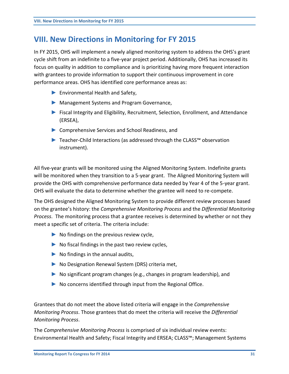# **VIII. New Directions in Monitoring for FY 2015**

In FY 2015, OHS will implement a newly aligned monitoring system to address the OHS's grant cycle shift from an indefinite to a five-year project period. Additionally, OHS has increased its focus on quality in addition to compliance and is prioritizing having more frequent interaction with grantees to provide information to support their continuous improvement in core performance areas. OHS has identified core performance areas as:

- ► Environmental Health and Safety,
- ► Management Systems and Program Governance,
- ► Fiscal Integrity and Eligibility, Recruitment, Selection, Enrollment, and Attendance (ERSEA),
- ► Comprehensive Services and School Readiness, and
- ► Teacher-Child Interactions (as addressed through the CLASS™ observation instrument).

All five-year grants will be monitored using the Aligned Monitoring System. Indefinite grants will be monitored when they transition to a 5-year grant. The Aligned Monitoring System will provide the OHS with comprehensive performance data needed by Year 4 of the 5-year grant. OHS will evaluate the data to determine whether the grantee will need to re-compete.

The OHS designed the Aligned Monitoring System to provide different review processes based on the grantee's history: the *Comprehensive Monitoring Process* and the *Differential Monitoring Process*. The monitoring process that a grantee receives is determined by whether or not they meet a specific set of criteria. The criteria include:

- $\triangleright$  No findings on the previous review cycle,
- $\triangleright$  No fiscal findings in the past two review cycles,
- $\triangleright$  No findings in the annual audits,
- ► No Designation Renewal System (DRS) criteria met,
- ► No significant program changes (e.g., changes in program leadership), and
- $\triangleright$  No concerns identified through input from the Regional Office.

Grantees that do not meet the above listed criteria will engage in the *Comprehensive Monitoring Process*. Those grantees that do meet the criteria will receive the *Differential Monitoring Process*.

The *Comprehensive Monitoring Process* is comprised of six individual review events: Environmental Health and Safety; Fiscal Integrity and ERSEA; CLASS™; Management Systems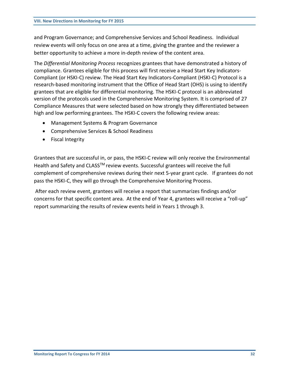and Program Governance; and Comprehensive Services and School Readiness. Individual review events will only focus on one area at a time, giving the grantee and the reviewer a better opportunity to achieve a more in-depth review of the content area.

The *Differential Monitoring Process* recognizes grantees that have demonstrated a history of compliance. Grantees eligible for this process will first receive a Head Start Key Indicators-Compliant (or HSKI-C) review. The Head Start Key Indicators-Compliant (HSKI-C) Protocol is a research-based monitoring instrument that the Office of Head Start (OHS) is using to identify grantees that are eligible for differential monitoring. The HSKI-C protocol is an abbreviated version of the protocols used in the Comprehensive Monitoring System. It is comprised of 27 Compliance Measures that were selected based on how strongly they differentiated between high and low performing grantees. The HSKI-C covers the following review areas:

- Management Systems & Program Governance
- Comprehensive Services & School Readiness
- Fiscal Integrity

Grantees that are successful in, or pass, the HSKI-C review will only receive the Environmental Health and Safety and CLASS<sup>™</sup> review events. Successful grantees will receive the full complement of comprehensive reviews during their next 5-year grant cycle. If grantees do not pass the HSKI-C, they will go through the Comprehensive Monitoring Process.

 After each review event, grantees will receive a report that summarizes findings and/or concerns for that specific content area. At the end of Year 4, grantees will receive a "roll-up" report summarizing the results of review events held in Years 1 through 3.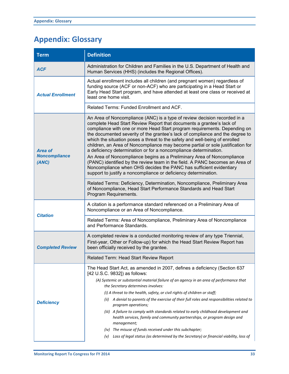# **Appendix: Glossary**

| <b>Term</b>                              | <b>Definition</b>                                                                                                                                                                                                                                                                                                                                                                                                                                                                                                                                                                                                                                                                                                                                                                                                                                        |  |  |
|------------------------------------------|----------------------------------------------------------------------------------------------------------------------------------------------------------------------------------------------------------------------------------------------------------------------------------------------------------------------------------------------------------------------------------------------------------------------------------------------------------------------------------------------------------------------------------------------------------------------------------------------------------------------------------------------------------------------------------------------------------------------------------------------------------------------------------------------------------------------------------------------------------|--|--|
| <b>ACF</b>                               | Administration for Children and Families in the U.S. Department of Health and<br>Human Services (HHS) (includes the Regional Offices).                                                                                                                                                                                                                                                                                                                                                                                                                                                                                                                                                                                                                                                                                                                   |  |  |
| <b>Actual Enrollment</b>                 | Actual enrollment includes all children (and pregnant women) regardless of<br>funding source (ACF or non-ACF) who are participating in a Head Start or<br>Early Head Start program, and have attended at least one class or received at<br>least one home visit.                                                                                                                                                                                                                                                                                                                                                                                                                                                                                                                                                                                         |  |  |
|                                          | Related Terms: Funded Enrollment and ACF.                                                                                                                                                                                                                                                                                                                                                                                                                                                                                                                                                                                                                                                                                                                                                                                                                |  |  |
| Area of<br><b>Noncompliance</b><br>(ANC) | An Area of Noncompliance (ANC) is a type of review decision recorded in a<br>complete Head Start Review Report that documents a grantee's lack of<br>compliance with one or more Head Start program requirements. Depending on<br>the documented severity of the grantee's lack of compliance and the degree to<br>which the situation poses a threat to the safety and well-being of enrolled<br>children, an Area of Noncompliance may become partial or sole justification for<br>a deficiency determination or for a noncompliance determination.<br>An Area of Noncompliance begins as a Preliminary Area of Noncompliance<br>(PANC) identified by the review team in the field. A PANC becomes an Area of<br>Noncompliance when OHS decides the PANC has sufficient evidentiary<br>support to justify a noncompliance or deficiency determination. |  |  |
|                                          | Related Terms: Deficiency, Determination, Noncompliance, Preliminary Area<br>of Noncompliance, Head Start Performance Standards and Head Start<br>Program Requirements.                                                                                                                                                                                                                                                                                                                                                                                                                                                                                                                                                                                                                                                                                  |  |  |
|                                          | A citation is a performance standard referenced on a Preliminary Area of<br>Noncompliance or an Area of Noncompliance.                                                                                                                                                                                                                                                                                                                                                                                                                                                                                                                                                                                                                                                                                                                                   |  |  |
| <b>Citation</b>                          | Related Terms: Area of Noncompliance, Preliminary Area of Noncompliance<br>and Performance Standards.                                                                                                                                                                                                                                                                                                                                                                                                                                                                                                                                                                                                                                                                                                                                                    |  |  |
| <b>Completed Review</b>                  | A completed review is a conducted monitoring review of any type Triennial,<br>First-year, Other or Follow-up) for which the Head Start Review Report has<br>been officially received by the grantee.                                                                                                                                                                                                                                                                                                                                                                                                                                                                                                                                                                                                                                                     |  |  |
|                                          | Related Term: Head Start Review Report                                                                                                                                                                                                                                                                                                                                                                                                                                                                                                                                                                                                                                                                                                                                                                                                                   |  |  |
| <b>Deficiency</b>                        | The Head Start Act, as amended in 2007, defines a deficiency (Section 637<br>[42 U.S.C. 9832]) as follows:<br>(A) Systemic or substantial material failure of an agency in an area of performance that<br>the Secretary determines involves:<br>(i) A threat to the health, safety, or civil rights of children or staff;<br>A denial to parents of the exercise of their full roles and responsibilities related to<br>(ii)<br>program operations;<br>(iii) A failure to comply with standards related to early childhood development and<br>health services, family and community partnerships, or program design and<br>management;<br>(iv) The misuse of funds received under this subchapter;                                                                                                                                                       |  |  |
|                                          | Loss of legal status (as determined by the Secretary) or financial viability, loss of<br>(v)                                                                                                                                                                                                                                                                                                                                                                                                                                                                                                                                                                                                                                                                                                                                                             |  |  |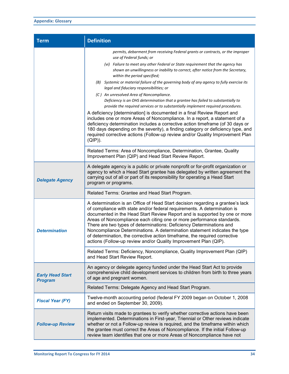| <b>Term</b>                               | <b>Definition</b>                                                                                                                                                                                                                                                                                                                                                                                                                                                                                                                                                                                                                                                                                                                                                                                                                                                                                                                                                                                                                                                                                                                                                                  |
|-------------------------------------------|------------------------------------------------------------------------------------------------------------------------------------------------------------------------------------------------------------------------------------------------------------------------------------------------------------------------------------------------------------------------------------------------------------------------------------------------------------------------------------------------------------------------------------------------------------------------------------------------------------------------------------------------------------------------------------------------------------------------------------------------------------------------------------------------------------------------------------------------------------------------------------------------------------------------------------------------------------------------------------------------------------------------------------------------------------------------------------------------------------------------------------------------------------------------------------|
|                                           | permits, debarment from receiving Federal grants or contracts, or the improper<br>use of Federal funds; or<br>(vi) Failure to meet any other Federal or State requirement that the agency has<br>shown an unwillingness or inability to correct, after notice from the Secretary,<br>within the period specified;<br>(B) Systemic or material failure of the governing body of any agency to fully exercise its<br>legal and fiduciary responsibilities; or<br>(C) An unresolved Area of Noncompliance.<br>Deficiency is an OHS determination that a grantee has failed to substantially to<br>provide the required services or to substantially implement required procedures.<br>A deficiency [determination] is documented in a final Review Report and<br>includes one or more Areas of Noncompliance. In a report, a statement of a<br>deficiency determination includes a corrective action timeframe (of 30 days or<br>180 days depending on the severity), a finding category or deficiency type, and<br>required corrective actions (Follow-up review and/or Quality Improvement Plan<br>(QIP)).<br>Related Terms: Area of Noncompliance, Determination, Grantee, Quality |
|                                           | Improvement Plan (QIP) and Head Start Review Report.                                                                                                                                                                                                                                                                                                                                                                                                                                                                                                                                                                                                                                                                                                                                                                                                                                                                                                                                                                                                                                                                                                                               |
| <b>Delegate Agency</b>                    | A delegate agency is a public or private nonprofit or for-profit organization or<br>agency to which a Head Start grantee has delegated by written agreement the<br>carrying out of all or part of its responsibility for operating a Head Start<br>program or programs.                                                                                                                                                                                                                                                                                                                                                                                                                                                                                                                                                                                                                                                                                                                                                                                                                                                                                                            |
|                                           | Related Terms: Grantee and Head Start Program.                                                                                                                                                                                                                                                                                                                                                                                                                                                                                                                                                                                                                                                                                                                                                                                                                                                                                                                                                                                                                                                                                                                                     |
| <b>Determination</b>                      | A determination is an Office of Head Start decision regarding a grantee's lack<br>of compliance with state and/or federal requirements. A determination is<br>documented in the Head Start Review Report and is supported by one or more<br>Areas of Noncompliance each citing one or more performance standards.<br>There are two types of determinations: Deficiency Determinations and<br>Noncompliance Determinations. A determination statement indicates the type<br>of determination, the corrective action timeframe, the required corrective<br>actions (Follow-up review and/or Quality Improvement Plan (QIP).                                                                                                                                                                                                                                                                                                                                                                                                                                                                                                                                                          |
|                                           | Related Terms: Deficiency, Noncompliance, Quality Improvement Plan (QIP)<br>and Head Start Review Report.                                                                                                                                                                                                                                                                                                                                                                                                                                                                                                                                                                                                                                                                                                                                                                                                                                                                                                                                                                                                                                                                          |
| <b>Early Head Start</b><br><b>Program</b> | An agency or delegate agency funded under the Head Start Act to provide<br>comprehensive child development services to children from birth to three years<br>of age and pregnant women.                                                                                                                                                                                                                                                                                                                                                                                                                                                                                                                                                                                                                                                                                                                                                                                                                                                                                                                                                                                            |
|                                           | Related Terms: Delegate Agency and Head Start Program.                                                                                                                                                                                                                                                                                                                                                                                                                                                                                                                                                                                                                                                                                                                                                                                                                                                                                                                                                                                                                                                                                                                             |
| <b>Fiscal Year (FY)</b>                   | Twelve-month accounting period (federal FY 2009 began on October 1, 2008<br>and ended on September 30, 2009).                                                                                                                                                                                                                                                                                                                                                                                                                                                                                                                                                                                                                                                                                                                                                                                                                                                                                                                                                                                                                                                                      |
| <b>Follow-up Review</b>                   | Return visits made to grantees to verify whether corrective actions have been<br>implemented. Determinations in First-year, Triennial or Other reviews indicate<br>whether or not a Follow-up review is required, and the timeframe within which<br>the grantee must correct the Areas of Noncompliance. If the initial Follow-up<br>review team identifies that one or more Areas of Noncompliance have not                                                                                                                                                                                                                                                                                                                                                                                                                                                                                                                                                                                                                                                                                                                                                                       |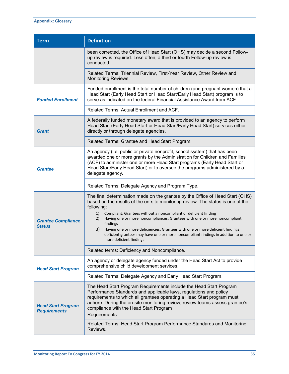| <b>Term</b>                                      | <b>Definition</b>                                                                                                                                                                                                                                                                                                                                                                                                                                                                                                                                                |
|--------------------------------------------------|------------------------------------------------------------------------------------------------------------------------------------------------------------------------------------------------------------------------------------------------------------------------------------------------------------------------------------------------------------------------------------------------------------------------------------------------------------------------------------------------------------------------------------------------------------------|
|                                                  | been corrected, the Office of Head Start (OHS) may decide a second Follow-<br>up review is required. Less often, a third or fourth Follow-up review is<br>conducted.                                                                                                                                                                                                                                                                                                                                                                                             |
|                                                  | Related Terms: Triennial Review, First-Year Review, Other Review and<br>Monitoring Reviews.                                                                                                                                                                                                                                                                                                                                                                                                                                                                      |
| <b>Funded Enrollment</b>                         | Funded enrollment is the total number of children (and pregnant women) that a<br>Head Start (Early Head Start or Head Start/Early Head Start) program is to<br>serve as indicated on the federal Financial Assistance Award from ACF.                                                                                                                                                                                                                                                                                                                            |
|                                                  | Related Terms: Actual Enrollment and ACF.                                                                                                                                                                                                                                                                                                                                                                                                                                                                                                                        |
| Grant                                            | A federally funded monetary award that is provided to an agency to perform<br>Head Start (Early Head Start or Head Start/Early Head Start) services either<br>directly or through delegate agencies.                                                                                                                                                                                                                                                                                                                                                             |
|                                                  | Related Terms: Grantee and Head Start Program.                                                                                                                                                                                                                                                                                                                                                                                                                                                                                                                   |
| <b>Grantee</b>                                   | An agency (i.e. public or private nonprofit, school system) that has been<br>awarded one or more grants by the Administration for Children and Families<br>(ACF) to administer one or more Head Start programs (Early Head Start or<br>Head Start/Early Head Start) or to oversee the programs administered by a<br>delegate agency.                                                                                                                                                                                                                             |
|                                                  | Related Terms: Delegate Agency and Program Type.                                                                                                                                                                                                                                                                                                                                                                                                                                                                                                                 |
| <b>Grantee Compliance</b><br><b>Status</b>       | The final determination made on the grantee by the Office of Head Start (OHS)<br>based on the results of the on-site monitoring review. The status is one of the<br>following:<br>1)<br>Compliant: Grantees without a noncompliant or deficient finding<br>Having one or more noncompliances: Grantees with one or more noncompliant<br>2)<br>findings<br>3)<br>Having one or more deficiencies: Grantees with one or more deficient findings,<br>deficient grantees may have one or more noncompliant findings in addition to one or<br>more deficient findings |
|                                                  | Related terms: Deficiency and Noncompliance.                                                                                                                                                                                                                                                                                                                                                                                                                                                                                                                     |
| <b>Head Start Program</b>                        | An agency or delegate agency funded under the Head Start Act to provide<br>comprehensive child development services.                                                                                                                                                                                                                                                                                                                                                                                                                                             |
|                                                  | Related Terms: Delegate Agency and Early Head Start Program.                                                                                                                                                                                                                                                                                                                                                                                                                                                                                                     |
| <b>Head Start Program</b><br><b>Requirements</b> | The Head Start Program Requirements include the Head Start Program<br>Performance Standards and applicable laws, regulations and policy<br>requirements to which all grantees operating a Head Start program must<br>adhere. During the on-site monitoring review, review teams assess grantee's<br>compliance with the Head Start Program<br>Requirements.                                                                                                                                                                                                      |
|                                                  | Related Terms: Head Start Program Performance Standards and Monitoring<br>Reviews.                                                                                                                                                                                                                                                                                                                                                                                                                                                                               |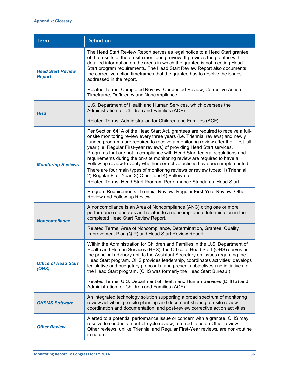| <b>Term</b>                               | <b>Definition</b>                                                                                                                                                                                                                                                                                                                                                                                                                                                                                                                                                                                                                                                                                                                                                                             |
|-------------------------------------------|-----------------------------------------------------------------------------------------------------------------------------------------------------------------------------------------------------------------------------------------------------------------------------------------------------------------------------------------------------------------------------------------------------------------------------------------------------------------------------------------------------------------------------------------------------------------------------------------------------------------------------------------------------------------------------------------------------------------------------------------------------------------------------------------------|
| <b>Head Start Review</b><br><b>Report</b> | The Head Start Review Report serves as legal notice to a Head Start grantee<br>of the results of the on-site monitoring review. It provides the grantee with<br>detailed information on the areas in which the grantee is not meeting Head<br>Start program requirements. The Head Start Review Report also documents<br>the corrective action timeframes that the grantee has to resolve the issues<br>addressed in the report.                                                                                                                                                                                                                                                                                                                                                              |
|                                           | Related Terms: Completed Review, Conducted Review, Corrective Action<br>Timeframe, Deficiency and Noncompliance.                                                                                                                                                                                                                                                                                                                                                                                                                                                                                                                                                                                                                                                                              |
| <b>HHS</b>                                | U.S. Department of Health and Human Services, which oversees the<br>Administration for Children and Families (ACF).                                                                                                                                                                                                                                                                                                                                                                                                                                                                                                                                                                                                                                                                           |
|                                           | Related Terms: Administration for Children and Families (ACF).                                                                                                                                                                                                                                                                                                                                                                                                                                                                                                                                                                                                                                                                                                                                |
| <b>Monitoring Reviews</b>                 | Per Section 641A of the Head Start Act, grantees are required to receive a full-<br>onsite monitoring review every three years (i.e. Triennial reviews) and newly<br>funded programs are required to receive a monitoring review after their first full<br>year (i.e. Regular First-year reviews) of providing Head Start services.<br>Programs that are not in compliance with Head Start federal regulations and<br>requirements during the on-site monitoring review are required to have a<br>Follow-up review to verify whether corrective actions have been implemented.<br>There are four main types of monitoring reviews or review types: 1) Triennial,<br>2) Regular First-Year, 3) Other, and 4) Follow-up.<br>Related Terms: Head Start Program Performance Standards, Head Start |
|                                           | Program Requirements, Triennial Review, Regular First-Year Review, Other<br>Review and Follow-up Review.                                                                                                                                                                                                                                                                                                                                                                                                                                                                                                                                                                                                                                                                                      |
| <b>Noncompliance</b>                      | A noncompliance is an Area of Noncompliance (ANC) citing one or more<br>performance standards and related to a noncompliance determination in the<br>completed Head Start Review Report.                                                                                                                                                                                                                                                                                                                                                                                                                                                                                                                                                                                                      |
|                                           | Related Terms: Area of Noncompliance, Determination, Grantee, Quality<br>Improvement Plan (QIP) and Head Start Review Report.                                                                                                                                                                                                                                                                                                                                                                                                                                                                                                                                                                                                                                                                 |
| <b>Office of Head Start</b><br>(OHS)      | Within the Administration for Children and Families in the U.S. Department of<br>Health and Human Services (HHS), the Office of Head Start (OHS) serves as<br>the principal advisory unit to the Assistant Secretary on issues regarding the<br>Head Start program. OHS provides leadership, coordinates activities, develops<br>legislative and budgetary proposals, and presents objectives and initiatives for<br>the Head Start program. (OHS was formerly the Head Start Bureau.)                                                                                                                                                                                                                                                                                                        |
|                                           | Related Terms: U.S. Department of Health and Human Services (DHHS) and<br>Administration for Children and Families (ACF).                                                                                                                                                                                                                                                                                                                                                                                                                                                                                                                                                                                                                                                                     |
| <b>OHSMS Software</b>                     | An integrated technology solution supporting a broad spectrum of monitoring<br>review activities: pre-site planning and document-sharing, on-site review<br>coordination and documentation, and post-review corrective action activities.                                                                                                                                                                                                                                                                                                                                                                                                                                                                                                                                                     |
| <b>Other Review</b>                       | Alerted to a potential performance issue or concern with a grantee, OHS may<br>resolve to conduct an out-of-cycle review, referred to as an Other review.<br>Other reviews, unlike Triennial and Regular First-Year reviews, are non-routine<br>in nature.                                                                                                                                                                                                                                                                                                                                                                                                                                                                                                                                    |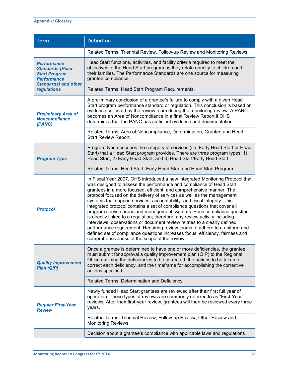| <b>Term</b>                                                                                                        | <b>Definition</b>                                                                                                                                                                                                                                                                                                                                                                                                                                                                                                                                                                                                                                                                                                                                                                                                                                                                                                      |
|--------------------------------------------------------------------------------------------------------------------|------------------------------------------------------------------------------------------------------------------------------------------------------------------------------------------------------------------------------------------------------------------------------------------------------------------------------------------------------------------------------------------------------------------------------------------------------------------------------------------------------------------------------------------------------------------------------------------------------------------------------------------------------------------------------------------------------------------------------------------------------------------------------------------------------------------------------------------------------------------------------------------------------------------------|
|                                                                                                                    | Related Terms: Triennial Review, Follow-up Review and Monitoring Reviews.                                                                                                                                                                                                                                                                                                                                                                                                                                                                                                                                                                                                                                                                                                                                                                                                                                              |
| Performance<br><b>Standards (Head</b><br><b>Start Program</b><br><b>Performance</b><br><b>Standards) and other</b> | Head Start functions, activities, and facility criteria required to meet the<br>objectives of the Head Start program as they relate directly to children and<br>their families. The Performance Standards are one source for measuring<br>grantee compliance.                                                                                                                                                                                                                                                                                                                                                                                                                                                                                                                                                                                                                                                          |
| <b>regulations</b>                                                                                                 | Related Terms: Head Start Program Requirements.                                                                                                                                                                                                                                                                                                                                                                                                                                                                                                                                                                                                                                                                                                                                                                                                                                                                        |
| <b>Preliminary Area of</b><br><b>Noncompliance</b><br>(PANC)                                                       | A preliminary conclusion of a grantee's failure to comply with a given Head<br>Start program performance standard or regulation. This conclusion is based on<br>evidence collected by the review team during the monitoring review. A PANC<br>becomes an Area of Noncompliance in a final Review Report if OHS<br>determines that the PANC has sufficient evidence and documentation.                                                                                                                                                                                                                                                                                                                                                                                                                                                                                                                                  |
|                                                                                                                    | Related Terms: Area of Noncompliance, Determination, Grantee and Head<br>Start Review Report.                                                                                                                                                                                                                                                                                                                                                                                                                                                                                                                                                                                                                                                                                                                                                                                                                          |
| <b>Program Type</b>                                                                                                | Program type describes the category of services (i.e. Early Head Start or Head<br>Start) that a Head Start program provides. There are three program types: 1)<br>Head Start, 2) Early Head Start, and 3) Head Start/Early Head Start.                                                                                                                                                                                                                                                                                                                                                                                                                                                                                                                                                                                                                                                                                 |
|                                                                                                                    | Related Terms: Head Start, Early Head Start and Head Start Program.                                                                                                                                                                                                                                                                                                                                                                                                                                                                                                                                                                                                                                                                                                                                                                                                                                                    |
| <b>Protocol</b>                                                                                                    | In Fiscal Year 2007, OHS introduced a new integrated Monitoring Protocol that<br>was designed to assess the performance and compliance of Head Start<br>grantees in a more focused, efficient, and comprehensive manner. The<br>protocol focused on the delivery of services as well as the management<br>systems that support services, accountability, and fiscal integrity. This<br>integrated protocol contains a set of compliance questions that cover all<br>program service areas and management systems. Each compliance question<br>is directly linked to a regulation; therefore, any review activity including<br>interviews, observations or document review relates to a clearly defined<br>performance requirement. Requiring review teams to adhere to a uniform and<br>defined set of compliance questions increases focus, efficiency, fairness and<br>comprehensiveness of the scope of the review. |
| <b>Quality Improvement</b><br>Plan (QIP)                                                                           | Once a grantee is determined to have one or more deficiencies, the grantee<br>must submit for approval a quality improvement plan (QIP) to the Regional<br>Office outlining the deficiencies to be corrected, the actions to be taken to<br>correct each deficiency, and the timeframe for accomplishing the corrective<br>actions specified                                                                                                                                                                                                                                                                                                                                                                                                                                                                                                                                                                           |
|                                                                                                                    | Related Terms: Determination and Deficiency.                                                                                                                                                                                                                                                                                                                                                                                                                                                                                                                                                                                                                                                                                                                                                                                                                                                                           |
| <b>Regular First-Year</b><br><b>Review</b>                                                                         | Newly funded Head Start grantees are reviewed after their first full year of<br>operation. These types of reviews are commonly referred to as "First-Year"<br>reviews. After their first-year review, grantees will then be reviewed every three<br>years.                                                                                                                                                                                                                                                                                                                                                                                                                                                                                                                                                                                                                                                             |
|                                                                                                                    | Related Terms: Triennial Review, Follow-up Review, Other Review and<br>Monitoring Reviews.                                                                                                                                                                                                                                                                                                                                                                                                                                                                                                                                                                                                                                                                                                                                                                                                                             |
|                                                                                                                    | Decision about a grantee's compliance with applicable laws and regulations                                                                                                                                                                                                                                                                                                                                                                                                                                                                                                                                                                                                                                                                                                                                                                                                                                             |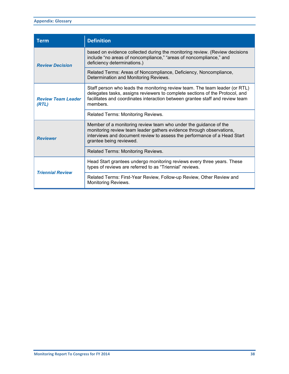| <b>Term</b>                        | <b>Definition</b>                                                                                                                                                                                                                                        |
|------------------------------------|----------------------------------------------------------------------------------------------------------------------------------------------------------------------------------------------------------------------------------------------------------|
| <b>Review Decision</b>             | based on evidence collected during the monitoring review. (Review decisions<br>include "no areas of noncompliance," "areas of noncompliance," and<br>deficiency determinations.)                                                                         |
|                                    | Related Terms: Areas of Noncompliance, Deficiency, Noncompliance,<br>Determination and Monitoring Reviews.                                                                                                                                               |
| <b>Review Team Leader</b><br>(RTL) | Staff person who leads the monitoring review team. The team leader (or RTL)<br>delegates tasks, assigns reviewers to complete sections of the Protocol, and<br>facilitates and coordinates interaction between grantee staff and review team<br>members. |
|                                    | Related Terms: Monitoring Reviews.                                                                                                                                                                                                                       |
| <b>Reviewer</b>                    | Member of a monitoring review team who under the guidance of the<br>monitoring review team leader gathers evidence through observations,<br>interviews and document review to assess the performance of a Head Start<br>grantee being reviewed.          |
|                                    | Related Terms: Monitoring Reviews.                                                                                                                                                                                                                       |
| <b>Triennial Review</b>            | Head Start grantees undergo monitoring reviews every three years. These<br>types of reviews are referred to as "Triennial" reviews.                                                                                                                      |
|                                    | Related Terms: First-Year Review, Follow-up Review, Other Review and<br>Monitoring Reviews.                                                                                                                                                              |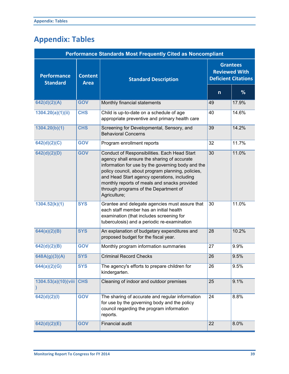# **Appendix: Tables**

| <b>Performance Standards Most Frequently Cited as Noncompliant</b> |                               |                                                                                                                                                                                                                                                                                                                                                               |                                                                       |       |  |
|--------------------------------------------------------------------|-------------------------------|---------------------------------------------------------------------------------------------------------------------------------------------------------------------------------------------------------------------------------------------------------------------------------------------------------------------------------------------------------------|-----------------------------------------------------------------------|-------|--|
| <b>Performance</b><br><b>Standard</b>                              | <b>Content</b><br><b>Area</b> | <b>Standard Description</b>                                                                                                                                                                                                                                                                                                                                   | <b>Grantees</b><br><b>Reviewed With</b><br><b>Deficient Citations</b> |       |  |
|                                                                    |                               |                                                                                                                                                                                                                                                                                                                                                               | $\mathsf{n}$                                                          | $\%$  |  |
| 642(d)(2)(A)                                                       | <b>GOV</b>                    | Monthly financial statements                                                                                                                                                                                                                                                                                                                                  | 49                                                                    | 17.9% |  |
| 1304.20(a)(1)(ii)                                                  | <b>CHS</b>                    | Child is up-to-date on a schedule of age<br>appropriate preventive and primary health care                                                                                                                                                                                                                                                                    | 40                                                                    | 14.6% |  |
| 1304.20(b)(1)                                                      | <b>CHS</b>                    | Screening for Developmental, Sensory, and<br><b>Behavioral Concerns</b>                                                                                                                                                                                                                                                                                       | 39                                                                    | 14.2% |  |
| 642(d)(2)(C)                                                       | <b>GOV</b>                    | Program enrollment reports                                                                                                                                                                                                                                                                                                                                    | 32                                                                    | 11.7% |  |
| 642(d)(2)(D)                                                       | <b>GOV</b>                    | Conduct of Responsibilities. Each Head Start<br>agency shall ensure the sharing of accurate<br>information for use by the governing body and the<br>policy council, about program planning, policies,<br>and Head Start agency operations, including<br>monthly reports of meals and snacks provided<br>through programs of the Department of<br>Agriculture; | 30                                                                    | 11.0% |  |
| 1304.52(k)(1)                                                      | <b>SYS</b>                    | Grantee and delegate agencies must assure that<br>each staff member has an initial health<br>examination (that includes screening for<br>tuberculosis) and a periodic re-examination                                                                                                                                                                          | 30                                                                    | 11.0% |  |
| 644(a)(2)(B)                                                       | <b>SYS</b>                    | An explanation of budgetary expenditures and<br>proposed budget for the fiscal year.                                                                                                                                                                                                                                                                          | 28                                                                    | 10.2% |  |
| 642(d)(2)(B)                                                       | <b>GOV</b>                    | Monthly program information summaries                                                                                                                                                                                                                                                                                                                         | 27                                                                    | 9.9%  |  |
| 648A(g)(3)(A)                                                      | <b>SYS</b>                    | <b>Criminal Record Checks</b>                                                                                                                                                                                                                                                                                                                                 | 26                                                                    | 9.5%  |  |
| 644(a)(2)(G)                                                       | <b>SYS</b>                    | The agency's efforts to prepare children for<br>kindergarten.                                                                                                                                                                                                                                                                                                 | 26                                                                    | 9.5%  |  |
| 1304.53(a)(10)(viii                                                | <b>CHS</b>                    | Cleaning of indoor and outdoor premises                                                                                                                                                                                                                                                                                                                       | 25                                                                    | 9.1%  |  |
| 642(d)(2)(l)                                                       | <b>GOV</b>                    | The sharing of accurate and regular information<br>for use by the governing body and the policy<br>council regarding the program information<br>reports.                                                                                                                                                                                                      | 24                                                                    | 8.8%  |  |
| 642(d)(2)(E)                                                       | <b>GOV</b>                    | Financial audit                                                                                                                                                                                                                                                                                                                                               | 22                                                                    | 8.0%  |  |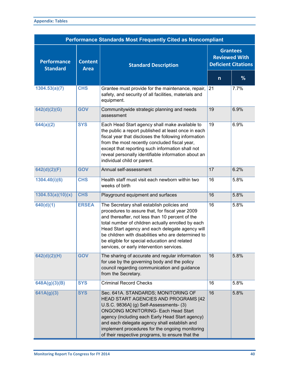| <b>Performance Standards Most Frequently Cited as Noncompliant</b> |                               |                                                                                                                                                                                                                                                                                                                                                                                                                |                                                                       |               |  |
|--------------------------------------------------------------------|-------------------------------|----------------------------------------------------------------------------------------------------------------------------------------------------------------------------------------------------------------------------------------------------------------------------------------------------------------------------------------------------------------------------------------------------------------|-----------------------------------------------------------------------|---------------|--|
| <b>Performance</b><br><b>Standard</b>                              | <b>Content</b><br><b>Area</b> | <b>Standard Description</b>                                                                                                                                                                                                                                                                                                                                                                                    | <b>Grantees</b><br><b>Reviewed With</b><br><b>Deficient Citations</b> |               |  |
|                                                                    |                               |                                                                                                                                                                                                                                                                                                                                                                                                                | $\mathsf{n}$                                                          | $\frac{9}{6}$ |  |
| 1304.53(a)(7)                                                      | <b>CHS</b>                    | Grantee must provide for the maintenance, repair,<br>safety, and security of all facilities, materials and<br>equipment.                                                                                                                                                                                                                                                                                       | 21                                                                    | 7.7%          |  |
| 642(d)(2)(G)                                                       | <b>GOV</b>                    | Communitywide strategic planning and needs<br>assessment                                                                                                                                                                                                                                                                                                                                                       | 19                                                                    | 6.9%          |  |
| 644(a)(2)                                                          | <b>SYS</b>                    | Each Head Start agency shall make available to<br>the public a report published at least once in each<br>fiscal year that discloses the following information<br>from the most recently concluded fiscal year,<br>except that reporting such information shall not<br>reveal personally identifiable information about an<br>individual child or parent.                                                       | 19                                                                    | 6.9%          |  |
| 642(d)(2)(F)                                                       | <b>GOV</b>                    | Annual self-assessment                                                                                                                                                                                                                                                                                                                                                                                         | $\overline{17}$                                                       | 6.2%          |  |
| 1304.40(i)(6)                                                      | <b>CHS</b>                    | Health staff must visit each newborn within two<br>weeks of birth                                                                                                                                                                                                                                                                                                                                              | 16                                                                    | 5.8%          |  |
| 1304.53(a)(10)(x)                                                  | <b>CHS</b>                    | Playground equipment and surfaces                                                                                                                                                                                                                                                                                                                                                                              | 16                                                                    | 5.8%          |  |
| 640(d)(1)                                                          | <b>ERSEA</b>                  | The Secretary shall establish policies and<br>procedures to assure that, for fiscal year 2009<br>and thereafter, not less than 10 percent of the<br>total number of children actually enrolled by each<br>Head Start agency and each delegate agency will<br>be children with disabilities who are determined to<br>be eligible for special education and related<br>services, or early intervention services. | 16                                                                    | 5.8%          |  |
| 642(d)(2)(H)                                                       | <b>GOV</b>                    | The sharing of accurate and regular information<br>for use by the governing body and the policy<br>council regarding communication and guidance<br>from the Secretary.                                                                                                                                                                                                                                         | 16                                                                    | 5.8%          |  |
| 648A(g)(3)(B)                                                      | <b>SYS</b>                    | <b>Criminal Record Checks</b>                                                                                                                                                                                                                                                                                                                                                                                  | 16                                                                    | 5.8%          |  |
| 641A(g)(3)                                                         | <b>SYS</b>                    | Sec. 641A. STANDARDS; MONITORING OF<br>HEAD START AGENCIES AND PROGRAMS [42<br>U.S.C. 9836A] (g) Self-Assessments- (3)<br><b>ONGOING MONITORING- Each Head Start</b><br>agency (including each Early Head Start agency)<br>and each delegate agency shall establish and<br>implement procedures for the ongoing monitoring<br>of their respective programs, to ensure that the                                 | 16                                                                    | 5.8%          |  |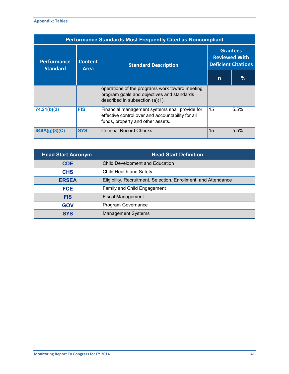| <b>Performance Standards Most Frequently Cited as Noncompliant</b> |                        |                                                                                                                                          |                                                                       |      |  |
|--------------------------------------------------------------------|------------------------|------------------------------------------------------------------------------------------------------------------------------------------|-----------------------------------------------------------------------|------|--|
| <b>Performance</b><br><b>Standard</b>                              | <b>Content</b><br>Area | <b>Standard Description</b>                                                                                                              | <b>Grantees</b><br><b>Reviewed With</b><br><b>Deficient Citations</b> |      |  |
|                                                                    |                        |                                                                                                                                          | n                                                                     | %    |  |
|                                                                    |                        | operations of the programs work toward meeting<br>program goals and objectives and standards<br>described in subsection $(a)(1)$ .       |                                                                       |      |  |
| 74.21(b)(3)                                                        | <b>FIS</b>             | Financial management systems shall provide for<br>effective control over and accountability for all<br>funds, property and other assets. | 15                                                                    | 5.5% |  |
| 648A(g)(3)(C)                                                      | <b>SYS</b>             | <b>Criminal Record Checks</b>                                                                                                            | 15                                                                    | 5.5% |  |

| <b>Head Start Acronym</b> | <b>Head Start Definition</b>                                    |
|---------------------------|-----------------------------------------------------------------|
| <b>CDE</b>                | <b>Child Development and Education</b>                          |
| <b>CHS</b>                | Child Health and Safety                                         |
| <b>ERSEA</b>              | Eligibility, Recruitment, Selection, Enrollment, and Attendance |
| <b>FCE</b>                | Family and Child Engagement                                     |
| <b>FIS</b>                | <b>Fiscal Management</b>                                        |
| <b>GOV</b>                | Program Governance                                              |
| <b>SYS</b>                | <b>Management Systems</b>                                       |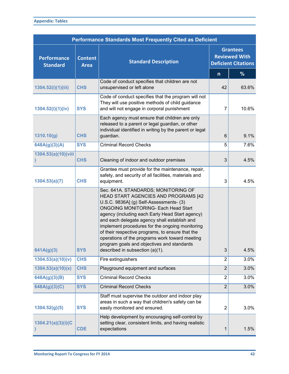| <b>Performance Standards Most Frequently Cited as Deficient</b> |                               |                                                                                                                                                                                                                                                                                                                                                                                                                                                                                                                   |                                                                       |       |  |
|-----------------------------------------------------------------|-------------------------------|-------------------------------------------------------------------------------------------------------------------------------------------------------------------------------------------------------------------------------------------------------------------------------------------------------------------------------------------------------------------------------------------------------------------------------------------------------------------------------------------------------------------|-----------------------------------------------------------------------|-------|--|
| <b>Performance</b><br><b>Standard</b>                           | <b>Content</b><br><b>Area</b> | <b>Standard Description</b>                                                                                                                                                                                                                                                                                                                                                                                                                                                                                       | <b>Grantees</b><br><b>Reviewed With</b><br><b>Deficient Citations</b> |       |  |
|                                                                 |                               |                                                                                                                                                                                                                                                                                                                                                                                                                                                                                                                   | $\mathsf{n}$                                                          | %     |  |
| 1304.52(i)(1)(iii)                                              | <b>CHS</b>                    | Code of conduct specifies that children are not<br>unsupervised or left alone                                                                                                                                                                                                                                                                                                                                                                                                                                     | 42                                                                    | 63.6% |  |
| 1304.52(i)(1)(iv)                                               | <b>SYS</b>                    | Code of conduct specifies that the program will not<br>They will use positive methods of child guidance<br>and will not engage in corporal punishment                                                                                                                                                                                                                                                                                                                                                             | 7                                                                     | 10.6% |  |
| 1310.10(g)                                                      | <b>CHS</b>                    | Each agency must ensure that children are only<br>released to a parent or legal guardian, or other<br>individual identified in writing by the parent or legal<br>guardian.                                                                                                                                                                                                                                                                                                                                        | $6\phantom{1}6$                                                       | 9.1%  |  |
| 648A(g)(3)(A)                                                   | <b>SYS</b>                    | <b>Criminal Record Checks</b>                                                                                                                                                                                                                                                                                                                                                                                                                                                                                     | 5                                                                     | 7.6%  |  |
| 1304.53(a)(10)(viii                                             | <b>CHS</b>                    | Cleaning of indoor and outdoor premises                                                                                                                                                                                                                                                                                                                                                                                                                                                                           | 3                                                                     | 4.5%  |  |
| 1304.53(a)(7)                                                   | <b>CHS</b>                    | Grantee must provide for the maintenance, repair,<br>safety, and security of all facilities, materials and<br>equipment.                                                                                                                                                                                                                                                                                                                                                                                          | 3                                                                     | 4.5%  |  |
| 641A(g)(3)                                                      | <b>SYS</b>                    | Sec. 641A. STANDARDS; MONITORING OF<br>HEAD START AGENCIES AND PROGRAMS [42<br>U.S.C. 9836A] (g) Self-Assessments- (3)<br><b>ONGOING MONITORING- Each Head Start</b><br>agency (including each Early Head Start agency)<br>and each delegate agency shall establish and<br>implement procedures for the ongoing monitoring<br>of their respective programs, to ensure that the<br>operations of the programs work toward meeting<br>program goals and objectives and standards<br>described in subsection (a)(1). | 3                                                                     | 4.5%  |  |
| 1304.53(a)(10)(v)                                               | <b>CHS</b>                    | Fire extinguishers                                                                                                                                                                                                                                                                                                                                                                                                                                                                                                | $\overline{2}$                                                        | 3.0%  |  |
| 1304.53(a)(10)(x)                                               | <b>CHS</b>                    | Playground equipment and surfaces                                                                                                                                                                                                                                                                                                                                                                                                                                                                                 | $\overline{2}$                                                        | 3.0%  |  |
| 648A(g)(3)(B)                                                   | <b>SYS</b>                    | <b>Criminal Record Checks</b>                                                                                                                                                                                                                                                                                                                                                                                                                                                                                     | $\overline{2}$                                                        | 3.0%  |  |
| 648A(g)(3)(C)                                                   | <b>SYS</b>                    | <b>Criminal Record Checks</b>                                                                                                                                                                                                                                                                                                                                                                                                                                                                                     | $\overline{2}$                                                        | 3.0%  |  |
| 1304.52(g)(5)                                                   | <b>SYS</b>                    | Staff must supervise the outdoor and indoor play<br>areas in such a way that children's safety can be<br>easily monitored and ensured.                                                                                                                                                                                                                                                                                                                                                                            | $\overline{2}$                                                        | 3.0%  |  |
| 1304.21(a)(3)(i)(C)                                             | <b>CDE</b>                    | Help development by encouraging self-control by<br>setting clear, consistent limits, and having realistic<br>expectations                                                                                                                                                                                                                                                                                                                                                                                         | 1                                                                     | 1.5%  |  |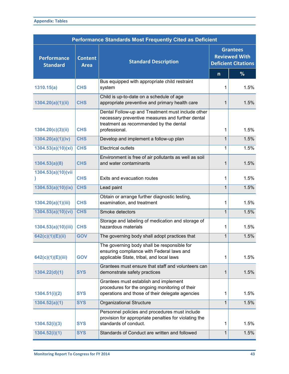| <b>Appendix: Tables</b> |  |
|-------------------------|--|
|-------------------------|--|

|                                       | <b>Performance Standards Most Frequently Cited as Deficient</b> |                                                                                                                                                                  |                                                                       |      |  |  |
|---------------------------------------|-----------------------------------------------------------------|------------------------------------------------------------------------------------------------------------------------------------------------------------------|-----------------------------------------------------------------------|------|--|--|
| <b>Performance</b><br><b>Standard</b> | <b>Content</b><br><b>Area</b>                                   | <b>Standard Description</b>                                                                                                                                      | <b>Grantees</b><br><b>Reviewed With</b><br><b>Deficient Citations</b> |      |  |  |
|                                       |                                                                 |                                                                                                                                                                  | $\mathsf{n}$                                                          | %    |  |  |
| 1310.15(a)                            | <b>CHS</b>                                                      | Bus equipped with appropriate child restraint<br>system                                                                                                          | 1                                                                     | 1.5% |  |  |
| 1304.20(a)(1)(ii)                     | <b>CHS</b>                                                      | Child is up-to-date on a schedule of age<br>appropriate preventive and primary health care                                                                       | 1                                                                     | 1.5% |  |  |
| 1304.20(c)(3)(ii)                     | <b>CHS</b>                                                      | Dental Follow-up and Treatment must include other<br>necessary preventive measures and further dental<br>treatment as recommended by the dental<br>professional. | 1                                                                     | 1.5% |  |  |
| 1304.20(a)(1)(iv)                     | <b>CHS</b>                                                      | Develop and implement a follow-up plan                                                                                                                           | 1                                                                     | 1.5% |  |  |
| 1304.53(a)(10)(xi)                    | <b>CHS</b>                                                      | <b>Electrical outlets</b>                                                                                                                                        | 1                                                                     | 1.5% |  |  |
| 1304.53(a)(8)                         | <b>CHS</b>                                                      | Environment is free of air pollutants as well as soil<br>and water contaminants                                                                                  | 1                                                                     | 1.5% |  |  |
| 1304.53(a)(10)(vii                    | <b>CHS</b>                                                      | Exits and evacuation routes                                                                                                                                      | 1                                                                     | 1.5% |  |  |
| 1304.53(a)(10)(ix)                    | <b>CHS</b>                                                      | Lead paint                                                                                                                                                       | $\mathbf{1}$                                                          | 1.5% |  |  |
| 1304.20(a)(1)(iii)                    | <b>CHS</b>                                                      | Obtain or arrange further diagnostic testing,<br>examination, and treatment                                                                                      | 1                                                                     | 1.5% |  |  |
| 1304.53(a)(10)(vi)                    | <b>CHS</b>                                                      | Smoke detectors                                                                                                                                                  | 1                                                                     | 1.5% |  |  |
| 1304.53(a)(10)(iii)                   | <b>CHS</b>                                                      | Storage and labeling of medication and storage of<br>hazardous materials                                                                                         | 1                                                                     | 1.5% |  |  |
| 642(c)(1)(E)(ii)                      | <b>GOV</b>                                                      | The governing body shall adopt practices that                                                                                                                    | $\mathbf{1}$                                                          | 1.5% |  |  |
| 642(c)(1)(E)(iii)                     | <b>GOV</b>                                                      | The governing body shall be responsible for<br>ensuring compliance with Federal laws and<br>applicable State, tribal, and local laws                             | 1                                                                     | 1.5% |  |  |
| 1304.22(d)(1)                         | <b>SYS</b>                                                      | Grantees must ensure that staff and volunteers can<br>demonstrate safety practices                                                                               | 1                                                                     | 1.5% |  |  |
| 1304.51(i)(2)                         | <b>SYS</b>                                                      | Grantees must establish and implement<br>procedures for the ongoing monitoring of their<br>operations and those of their delegate agencies                       | 1                                                                     | 1.5% |  |  |
| 1304.52(a)(1)                         | <b>SYS</b>                                                      | <b>Organizational Structure</b>                                                                                                                                  | 1                                                                     | 1.5% |  |  |
| 1304.52(i)(3)                         | <b>SYS</b>                                                      | Personnel policies and procedures must include<br>provision for appropriate penalties for violating the<br>standards of conduct.                                 | 1                                                                     | 1.5% |  |  |
| 1304.52(i)(1)                         | <b>SYS</b>                                                      | Standards of Conduct are written and followed                                                                                                                    | $\mathbf{1}$                                                          | 1.5% |  |  |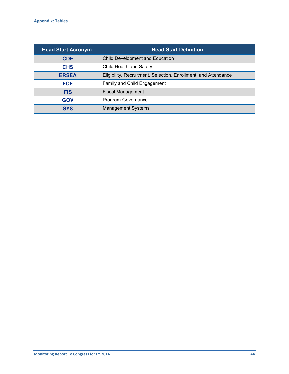| <b>Head Start Acronym</b> | <b>Head Start Definition</b>                                    |
|---------------------------|-----------------------------------------------------------------|
| <b>CDE</b>                | <b>Child Development and Education</b>                          |
| <b>CHS</b>                | Child Health and Safety                                         |
| <b>ERSEA</b>              | Eligibility, Recruitment, Selection, Enrollment, and Attendance |
| <b>FCE</b>                | Family and Child Engagement                                     |
| <b>FIS</b>                | <b>Fiscal Management</b>                                        |
| <b>GOV</b>                | Program Governance                                              |
| <b>SYS</b>                | <b>Management Systems</b>                                       |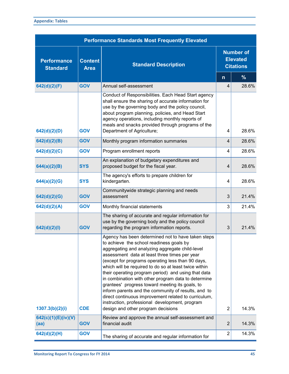|                                       | <b>Performance Standards Most Frequently Elevated</b> |                                                                                                                                                                                                                                                                                                                                                                                                                                                                                                                                                                                                                                                                                          |                                                         |       |  |  |
|---------------------------------------|-------------------------------------------------------|------------------------------------------------------------------------------------------------------------------------------------------------------------------------------------------------------------------------------------------------------------------------------------------------------------------------------------------------------------------------------------------------------------------------------------------------------------------------------------------------------------------------------------------------------------------------------------------------------------------------------------------------------------------------------------------|---------------------------------------------------------|-------|--|--|
| <b>Performance</b><br><b>Standard</b> | <b>Content</b><br><b>Area</b>                         | <b>Standard Description</b>                                                                                                                                                                                                                                                                                                                                                                                                                                                                                                                                                                                                                                                              | <b>Number of</b><br><b>Elevated</b><br><b>Citations</b> |       |  |  |
|                                       |                                                       |                                                                                                                                                                                                                                                                                                                                                                                                                                                                                                                                                                                                                                                                                          | $\mathsf{n}$                                            | %     |  |  |
| 642(d)(2)(F)                          | <b>GOV</b>                                            | Annual self-assessment                                                                                                                                                                                                                                                                                                                                                                                                                                                                                                                                                                                                                                                                   | 4                                                       | 28.6% |  |  |
| 642(d)(2)(D)                          | <b>GOV</b>                                            | Conduct of Responsibilities. Each Head Start agency<br>shall ensure the sharing of accurate information for<br>use by the governing body and the policy council,<br>about program planning, policies, and Head Start<br>agency operations, including monthly reports of<br>meals and snacks provided through programs of the<br>Department of Agriculture;                                                                                                                                                                                                                                                                                                                               | 4                                                       | 28.6% |  |  |
| 642(d)(2)(B)                          | <b>GOV</b>                                            | Monthly program information summaries                                                                                                                                                                                                                                                                                                                                                                                                                                                                                                                                                                                                                                                    | 4                                                       | 28.6% |  |  |
| 642(d)(2)(C)                          | <b>GOV</b>                                            | Program enrollment reports                                                                                                                                                                                                                                                                                                                                                                                                                                                                                                                                                                                                                                                               | 4                                                       | 28.6% |  |  |
| 644(a)(2)(B)                          | <b>SYS</b>                                            | An explanation of budgetary expenditures and<br>proposed budget for the fiscal year.                                                                                                                                                                                                                                                                                                                                                                                                                                                                                                                                                                                                     | 4                                                       | 28.6% |  |  |
| 644(a)(2)(G)                          | <b>SYS</b>                                            | The agency's efforts to prepare children for<br>kindergarten.                                                                                                                                                                                                                                                                                                                                                                                                                                                                                                                                                                                                                            | 4                                                       | 28.6% |  |  |
| 642(d)(2)(G)                          | <b>GOV</b>                                            | Communitywide strategic planning and needs<br>assessment                                                                                                                                                                                                                                                                                                                                                                                                                                                                                                                                                                                                                                 | 3                                                       | 21.4% |  |  |
| 642(d)(2)(A)                          | <b>GOV</b>                                            | Monthly financial statements                                                                                                                                                                                                                                                                                                                                                                                                                                                                                                                                                                                                                                                             | 3                                                       | 21.4% |  |  |
| 642(d)(2)(l)                          | <b>GOV</b>                                            | The sharing of accurate and regular information for<br>use by the governing body and the policy council<br>regarding the program information reports.                                                                                                                                                                                                                                                                                                                                                                                                                                                                                                                                    | 3                                                       | 21.4% |  |  |
| 1307.3(b)(2)(i)                       | <b>CDE</b>                                            | Agency has been determined not to have taken steps<br>to achieve the school readiness goals by<br>aggregating and analyzing aggregate child-level<br>assessment data at least three times per year<br>(except for programs operating less than 90 days,<br>which will be required to do so at least twice within<br>their operating program period) and using that data<br>in combination with other program data to determine<br>grantees' progress toward meeting its goals, to<br>inform parents and the community of results, and to<br>direct continuous improvement related to curriculum,<br>instruction, professional development, program<br>design and other program decisions | $\overline{2}$                                          | 14.3% |  |  |
| 642(c)(1)(E)(iv)(V)<br>(aa)           | <b>GOV</b>                                            | Review and approve the annual self-assessment and<br>financial audit                                                                                                                                                                                                                                                                                                                                                                                                                                                                                                                                                                                                                     | $\overline{2}$                                          | 14.3% |  |  |
| 642(d)(2)(H)                          | <b>GOV</b>                                            | The sharing of accurate and regular information for                                                                                                                                                                                                                                                                                                                                                                                                                                                                                                                                                                                                                                      | $\overline{2}$                                          | 14.3% |  |  |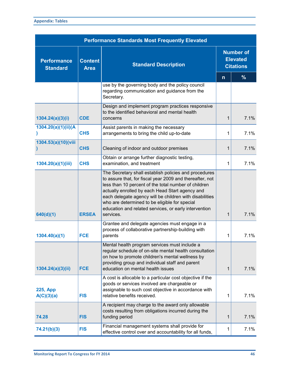| <b>Performance Standards Most Frequently Elevated</b> |                               |                                                                                                                                                                                                                                                                                                                                                                                                                |                                                         |               |  |  |
|-------------------------------------------------------|-------------------------------|----------------------------------------------------------------------------------------------------------------------------------------------------------------------------------------------------------------------------------------------------------------------------------------------------------------------------------------------------------------------------------------------------------------|---------------------------------------------------------|---------------|--|--|
| <b>Performance</b><br><b>Standard</b>                 | <b>Content</b><br><b>Area</b> | <b>Standard Description</b>                                                                                                                                                                                                                                                                                                                                                                                    | <b>Number of</b><br><b>Elevated</b><br><b>Citations</b> |               |  |  |
|                                                       |                               |                                                                                                                                                                                                                                                                                                                                                                                                                | $\mathsf{n}$                                            | $\frac{9}{6}$ |  |  |
|                                                       |                               | use by the governing body and the policy council<br>regarding communication and guidance from the<br>Secretary.                                                                                                                                                                                                                                                                                                |                                                         |               |  |  |
| 1304.24(a)(3)(i)                                      | <b>CDE</b>                    | Design and implement program practices responsive<br>to the identified behavioral and mental health<br>concerns                                                                                                                                                                                                                                                                                                | 1                                                       | 7.1%          |  |  |
| 1304.20(a)(1)(ii)(A                                   | <b>CHS</b>                    | Assist parents in making the necessary<br>arrangements to bring the child up-to-date                                                                                                                                                                                                                                                                                                                           | 1                                                       | 7.1%          |  |  |
| 1304.53(a)(10)(viii                                   | <b>CHS</b>                    | Cleaning of indoor and outdoor premises                                                                                                                                                                                                                                                                                                                                                                        | 1                                                       | 7.1%          |  |  |
| 1304.20(a)(1)(iii)                                    | <b>CHS</b>                    | Obtain or arrange further diagnostic testing,<br>examination, and treatment                                                                                                                                                                                                                                                                                                                                    | 1                                                       | 7.1%          |  |  |
| 640(d)(1)                                             | <b>ERSEA</b>                  | The Secretary shall establish policies and procedures<br>to assure that, for fiscal year 2009 and thereafter, not<br>less than 10 percent of the total number of children<br>actually enrolled by each Head Start agency and<br>each delegate agency will be children with disabilities<br>who are determined to be eligible for special<br>education and related services, or early intervention<br>services. | $\mathbf{1}$                                            | 7.1%          |  |  |
| 1304.40(a)(1)                                         | <b>FCE</b>                    | Grantee and delegate agencies must engage in a<br>process of collaborative partnership-building with<br>parents                                                                                                                                                                                                                                                                                                | 1                                                       | 7.1%          |  |  |
| 1304.24(a)(3)(ii)                                     | <b>FCE</b>                    | Mental health program services must include a<br>regular schedule of on-site mental health consultation<br>on how to promote children's mental wellness by<br>providing group and individual staff and parent<br>education on mental health issues                                                                                                                                                             | $\mathbf{1}$                                            | 7.1%          |  |  |
| <b>225, App</b><br>A(C)(3)(a)                         | <b>FIS</b>                    | A cost is allocable to a particular cost objective if the<br>goods or services involved are chargeable or<br>assignable to such cost objective in accordance with<br>relative benefits received.                                                                                                                                                                                                               | 1                                                       | 7.1%          |  |  |
| 74.28                                                 | <b>FIS</b>                    | A recipient may charge to the award only allowable<br>costs resulting from obligations incurred during the<br>funding period                                                                                                                                                                                                                                                                                   | 1                                                       | 7.1%          |  |  |
| 74.21(b)(3)                                           | <b>FIS</b>                    | Financial management systems shall provide for<br>effective control over and accountability for all funds,                                                                                                                                                                                                                                                                                                     | 1                                                       | 7.1%          |  |  |